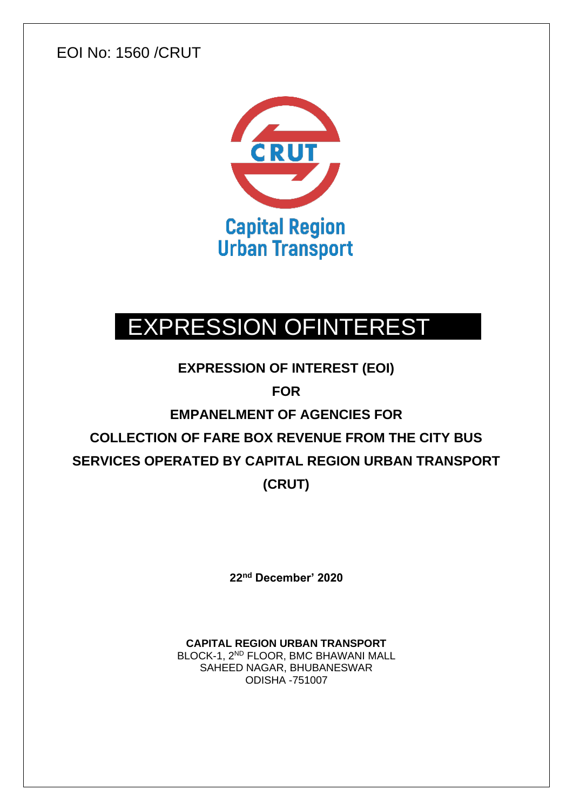EOI No: 1560 /CRUT



# EXPRESSION OFINTEREST

**EXPRESSION OF INTEREST (EOI)** 

**FOR**

# **EMPANELMENT OF AGENCIES FOR COLLECTION OF FARE BOX REVENUE FROM THE CITY BUS SERVICES OPERATED BY CAPITAL REGION URBAN TRANSPORT (CRUT)**

**22 nd December' 2020**

**CAPITAL REGION URBAN TRANSPORT**  BLOCK-1, 2<sup>ND</sup> FLOOR, BMC BHAWANI MALL SAHEED NAGAR, BHUBANESWAR ODISHA -751007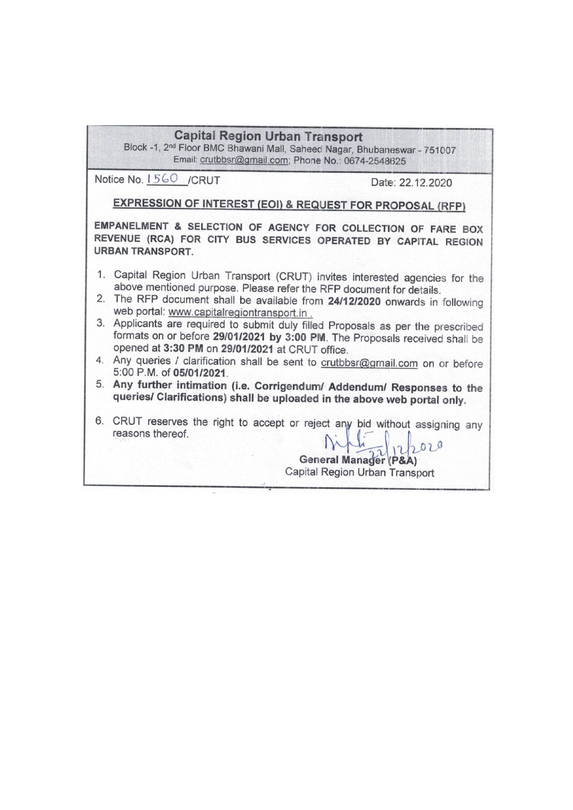| Email: crutbbsr@gmail.com; Phone No.: 0674-2548625                                            |                                                                                                                                                                 |
|-----------------------------------------------------------------------------------------------|-----------------------------------------------------------------------------------------------------------------------------------------------------------------|
| Notice No. 1560 /CRUT                                                                         | Date: 22.12.2020                                                                                                                                                |
| <b>EXPRESSION OF INTEREST (EOI) &amp; REQUEST FOR PROPOSAL (RFP)</b>                          |                                                                                                                                                                 |
| <b>URBAN TRANSPORT.</b>                                                                       | EMPANELMENT & SELECTION OF AGENCY FOR COLLECTION OF FARE BOX<br>REVENUE (RCA) FOR CITY BUS SERVICES OPERATED BY CAPITAL REGION                                  |
| above mentioned purpose. Please refer the RFP document for details.                           | 1. Capital Region Urban Transport (CRUT) invites interested agencies for the<br>2. The RFP document shall be available from 24/12/2020 onwards in following     |
| web portal: www.capitalregiontransport.in.<br>opened at 3:30 PM on 29/01/2021 at CRUT office. | 3. Applicants are required to submit duly filled Proposals as per the prescribed<br>formats on or before 29/01/2021 by 3:00 PM. The Proposals received shall be |
| 5:00 P.M. of 05/01/2021                                                                       | 4. Any queries / clarification shall be sent to crutbbsr@gmail.com on or before                                                                                 |
| queries/ Clarifications) shall be uploaded in the above web portal only.                      | 5. Any further intimation (i.e. Corrigendum/ Addendum/ Responses to the                                                                                         |
| reasons thereof.                                                                              | 6. CRUT reserves the right to accept or reject any bid without assigning any<br><b>General Manager (P&amp;A)</b><br>Capital Region Urban Transport              |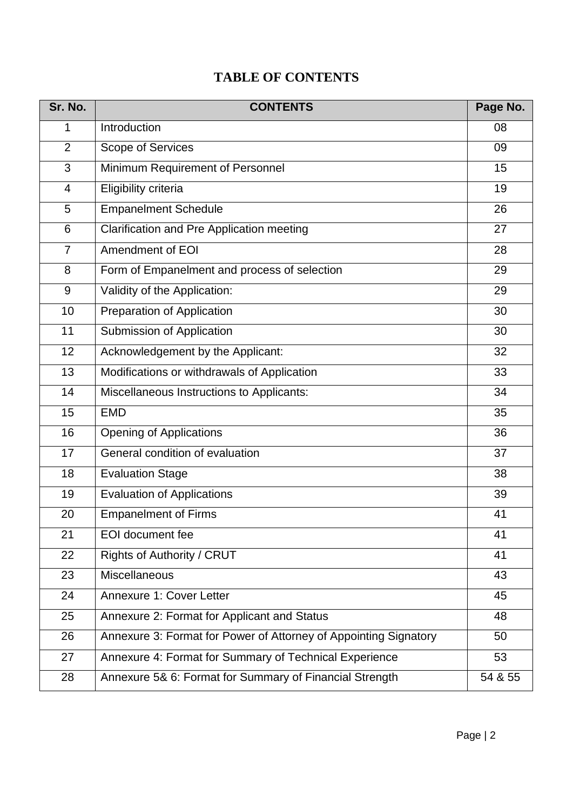# **TABLE OF CONTENTS**

| Sr. No.        | <b>CONTENTS</b>                                                  | Page No. |
|----------------|------------------------------------------------------------------|----------|
| 1              | Introduction                                                     | 08       |
| $\overline{2}$ | <b>Scope of Services</b>                                         | 09       |
| 3              | Minimum Requirement of Personnel                                 | 15       |
| 4              | Eligibility criteria                                             | 19       |
| 5              | <b>Empanelment Schedule</b>                                      | 26       |
| 6              | <b>Clarification and Pre Application meeting</b>                 | 27       |
| $\overline{7}$ | Amendment of EOI                                                 | 28       |
| 8              | Form of Empanelment and process of selection                     | 29       |
| 9              | Validity of the Application:                                     | 29       |
| 10             | Preparation of Application                                       | 30       |
| 11             | Submission of Application                                        | 30       |
| 12             | Acknowledgement by the Applicant:                                | 32       |
| 13             | Modifications or withdrawals of Application                      | 33       |
| 14             | Miscellaneous Instructions to Applicants:                        | 34       |
| 15             | <b>EMD</b>                                                       | 35       |
| 16             | <b>Opening of Applications</b>                                   | 36       |
| 17             | General condition of evaluation                                  | 37       |
| 18             | <b>Evaluation Stage</b>                                          | 38       |
| 19             | <b>Evaluation of Applications</b>                                | 39       |
| 20             | <b>Empanelment of Firms</b>                                      | 41       |
| 21             | <b>EOI</b> document fee                                          | 41       |
| 22             | Rights of Authority / CRUT                                       | 41       |
| 23             | <b>Miscellaneous</b>                                             | 43       |
| 24             | Annexure 1: Cover Letter                                         | 45       |
| 25             | Annexure 2: Format for Applicant and Status                      | 48       |
| 26             | Annexure 3: Format for Power of Attorney of Appointing Signatory | 50       |
| 27             | Annexure 4: Format for Summary of Technical Experience           | 53       |
| 28             | Annexure 5& 6: Format for Summary of Financial Strength          | 54 & 55  |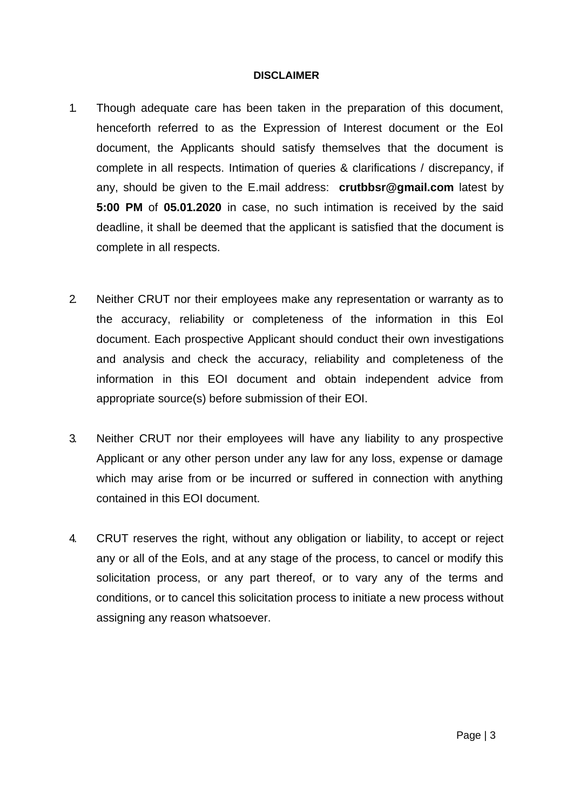#### **DISCLAIMER**

- 1. Though adequate care has been taken in the preparation of this document, henceforth referred to as the Expression of Interest document or the EoI document, the Applicants should satisfy themselves that the document is complete in all respects. Intimation of queries & clarifications / discrepancy, if any, should be given to the E.mail address: **crutbbsr@gmail.com** latest by **5:00 PM** of **05.01.2020** in case, no such intimation is received by the said deadline, it shall be deemed that the applicant is satisfied that the document is complete in all respects.
- 2. Neither CRUT nor their employees make any representation or warranty as to the accuracy, reliability or completeness of the information in this EoI document. Each prospective Applicant should conduct their own investigations and analysis and check the accuracy, reliability and completeness of the information in this EOI document and obtain independent advice from appropriate source(s) before submission of their EOI.
- 3. Neither CRUT nor their employees will have any liability to any prospective Applicant or any other person under any law for any loss, expense or damage which may arise from or be incurred or suffered in connection with anything contained in this EOI document.
- 4. CRUT reserves the right, without any obligation or liability, to accept or reject any or all of the EoIs, and at any stage of the process, to cancel or modify this solicitation process, or any part thereof, or to vary any of the terms and conditions, or to cancel this solicitation process to initiate a new process without assigning any reason whatsoever.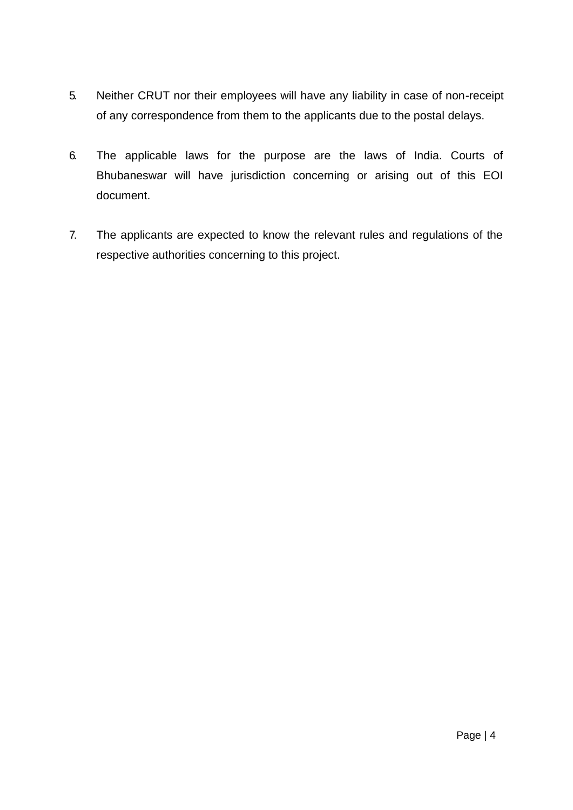- 5. Neither CRUT nor their employees will have any liability in case of non-receipt of any correspondence from them to the applicants due to the postal delays.
- 6. The applicable laws for the purpose are the laws of India. Courts of Bhubaneswar will have jurisdiction concerning or arising out of this EOI document.
- 7. The applicants are expected to know the relevant rules and regulations of the respective authorities concerning to this project.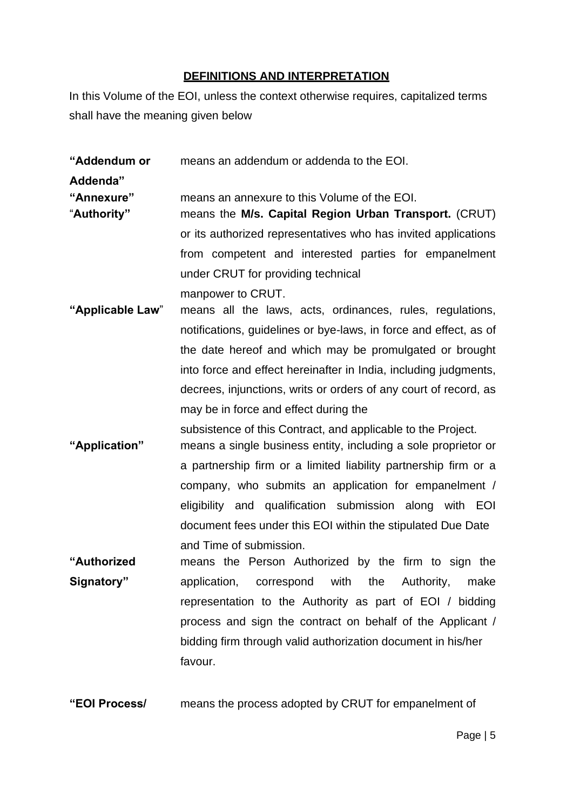# **DEFINITIONS AND INTERPRETATION**

In this Volume of the EOI, unless the context otherwise requires, capitalized terms shall have the meaning given below

**"Addendum or** means an addendum or addenda to the EOI.

**Addenda"**

**"Annexure"** means an annexure to this Volume of the EOI.

- "**Authority"** means the **M/s. Capital Region Urban Transport.** (CRUT) or its authorized representatives who has invited applications from competent and interested parties for empanelment under CRUT for providing technical manpower to CRUT.
- **"Applicable Law**" means all the laws, acts, ordinances, rules, regulations, notifications, guidelines or bye-laws, in force and effect, as of the date hereof and which may be promulgated or brought into force and effect hereinafter in India, including judgments, decrees, injunctions, writs or orders of any court of record, as may be in force and effect during the
- subsistence of this Contract, and applicable to the Project. **"Application"** means a single business entity, including a sole proprietor or a partnership firm or a limited liability partnership firm or a company, who submits an application for empanelment / eligibility and qualification submission along with EOI document fees under this EOI within the stipulated Due Date and Time of submission.
- **"Authorized Signatory"** means the Person Authorized by the firm to sign the application, correspond with the Authority, make representation to the Authority as part of EOI / bidding process and sign the contract on behalf of the Applicant / bidding firm through valid authorization document in his/her favour.
- **"EOI Process/** means the process adopted by CRUT for empanelment of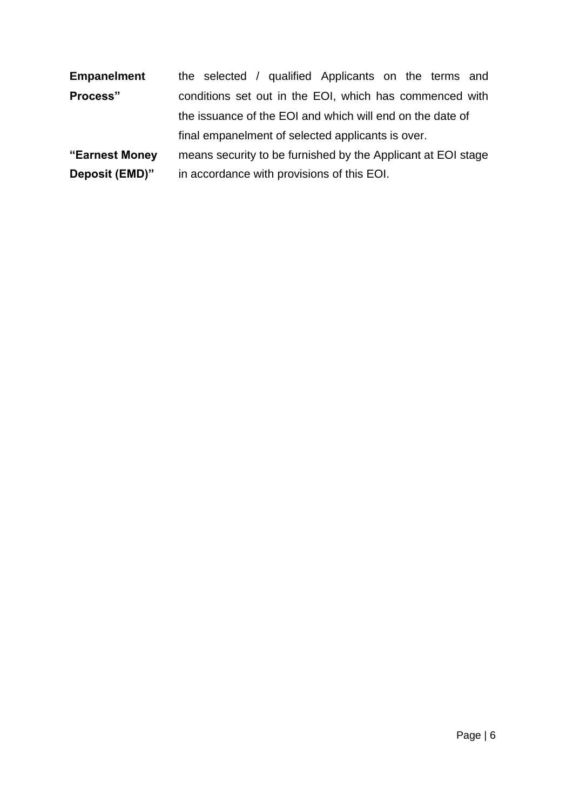| <b>Empanelment</b> | the selected / qualified Applicants on the terms and         |
|--------------------|--------------------------------------------------------------|
| Process"           | conditions set out in the EOI, which has commenced with      |
|                    | the issuance of the EOI and which will end on the date of    |
|                    | final empanelment of selected applicants is over.            |
| "Earnest Money     | means security to be furnished by the Applicant at EOI stage |
| Deposit (EMD)"     | in accordance with provisions of this EOI.                   |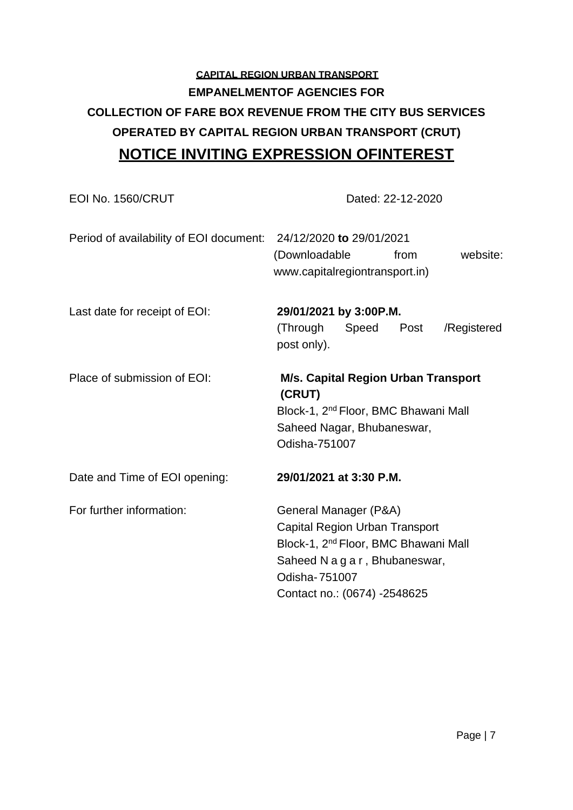# **CAPITAL REGION URBAN TRANSPORT EMPANELMENTOF AGENCIES FOR COLLECTION OF FARE BOX REVENUE FROM THE CITY BUS SERVICES OPERATED BY CAPITAL REGION URBAN TRANSPORT (CRUT) NOTICE INVITING EXPRESSION OFINTEREST**

| EOI No. 1560/CRUT                       | Dated: 22-12-2020                                                                                                                                                                              |
|-----------------------------------------|------------------------------------------------------------------------------------------------------------------------------------------------------------------------------------------------|
| Period of availability of EOI document: | 24/12/2020 to 29/01/2021<br>website:<br>(Downloadable<br>from<br>www.capitalregiontransport.in)                                                                                                |
| Last date for receipt of EOI:           | 29/01/2021 by 3:00P.M.<br>(Through<br>Post<br>Speed<br>/Registered<br>post only).                                                                                                              |
| Place of submission of EOI:             | M/s. Capital Region Urban Transport<br>(CRUT)<br>Block-1, 2 <sup>nd</sup> Floor, BMC Bhawani Mall<br>Saheed Nagar, Bhubaneswar,<br>Odisha-751007                                               |
| Date and Time of EOI opening:           | 29/01/2021 at 3:30 P.M.                                                                                                                                                                        |
| For further information:                | General Manager (P&A)<br>Capital Region Urban Transport<br>Block-1, 2 <sup>nd</sup> Floor, BMC Bhawani Mall<br>Saheed N a g a r, Bhubaneswar,<br>Odisha-751007<br>Contact no.: (0674) -2548625 |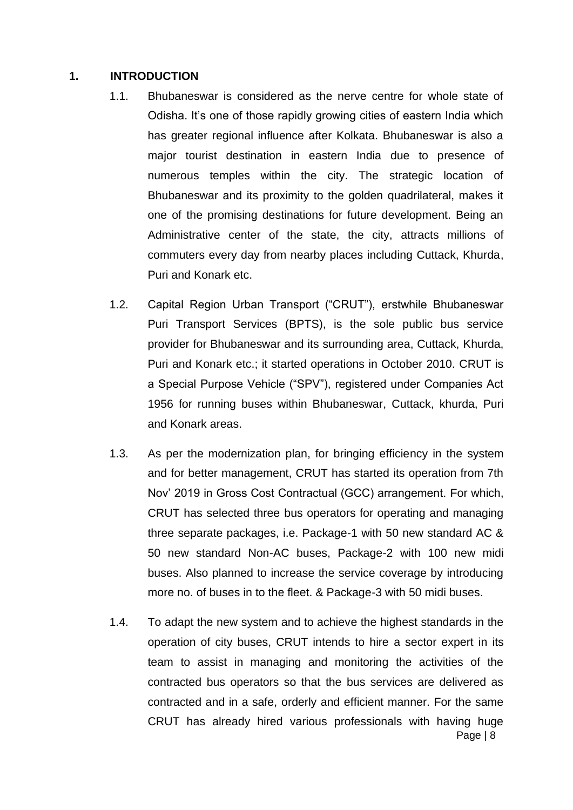#### **1. INTRODUCTION**

- 1.1. Bhubaneswar is considered as the nerve centre for whole state of Odisha. It's one of those rapidly growing cities of eastern India which has greater regional influence after Kolkata. Bhubaneswar is also a major tourist destination in eastern India due to presence of numerous temples within the city. The strategic location of Bhubaneswar and its proximity to the golden quadrilateral, makes it one of the promising destinations for future development. Being an Administrative center of the state, the city, attracts millions of commuters every day from nearby places including Cuttack, Khurda, Puri and Konark etc.
- 1.2. Capital Region Urban Transport ("CRUT"), erstwhile Bhubaneswar Puri Transport Services (BPTS), is the sole public bus service provider for Bhubaneswar and its surrounding area, Cuttack, Khurda, Puri and Konark etc.; it started operations in October 2010. CRUT is a Special Purpose Vehicle ("SPV"), registered under Companies Act 1956 for running buses within Bhubaneswar, Cuttack, khurda, Puri and Konark areas.
- 1.3. As per the modernization plan, for bringing efficiency in the system and for better management, CRUT has started its operation from 7th Nov' 2019 in Gross Cost Contractual (GCC) arrangement. For which, CRUT has selected three bus operators for operating and managing three separate packages, i.e. Package-1 with 50 new standard AC & 50 new standard Non-AC buses, Package-2 with 100 new midi buses. Also planned to increase the service coverage by introducing more no. of buses in to the fleet. & Package-3 with 50 midi buses.
- Page | 8 1.4. To adapt the new system and to achieve the highest standards in the operation of city buses, CRUT intends to hire a sector expert in its team to assist in managing and monitoring the activities of the contracted bus operators so that the bus services are delivered as contracted and in a safe, orderly and efficient manner. For the same CRUT has already hired various professionals with having huge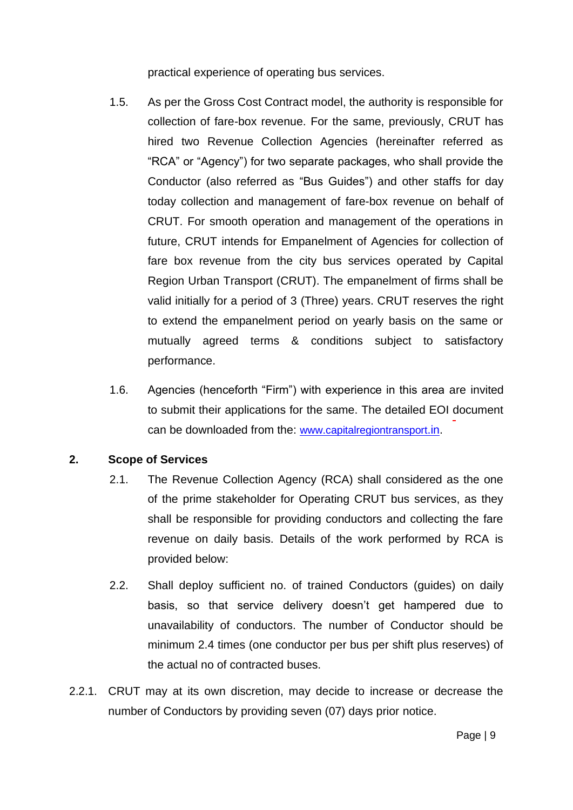practical experience of operating bus services.

- 1.5. As per the Gross Cost Contract model, the authority is responsible for collection of fare-box revenue. For the same, previously, CRUT has hired two Revenue Collection Agencies (hereinafter referred as "RCA" or "Agency") for two separate packages, who shall provide the Conductor (also referred as "Bus Guides") and other staffs for day today collection and management of fare-box revenue on behalf of CRUT. For smooth operation and management of the operations in future, CRUT intends for Empanelment of Agencies for collection of fare box revenue from the city bus services operated by Capital Region Urban Transport (CRUT). The empanelment of firms shall be valid initially for a period of 3 (Three) years. CRUT reserves the right to extend the empanelment period on yearly basis on the same or mutually agreed terms & conditions subject to satisfactory performance.
- 1.6. Agencies (henceforth "Firm") with experience in this area are invited to submit their applications for the same. The detailed EOI document can be downloaded from the: [www.capitalregiontransport](http://www.capitalregiontransport.in/)[.in.](http://www.capitalregiontransport.in/)

# **2. Scope of Services**

- 2.1. The Revenue Collection Agency (RCA) shall considered as the one of the prime stakeholder for Operating CRUT bus services, as they shall be responsible for providing conductors and collecting the fare revenue on daily basis. Details of the work performed by RCA is provided below:
- 2.2. Shall deploy sufficient no. of trained Conductors (guides) on daily basis, so that service delivery doesn't get hampered due to unavailability of conductors. The number of Conductor should be minimum 2.4 times (one conductor per bus per shift plus reserves) of the actual no of contracted buses.
- 2.2.1. CRUT may at its own discretion, may decide to increase or decrease the number of Conductors by providing seven (07) days prior notice.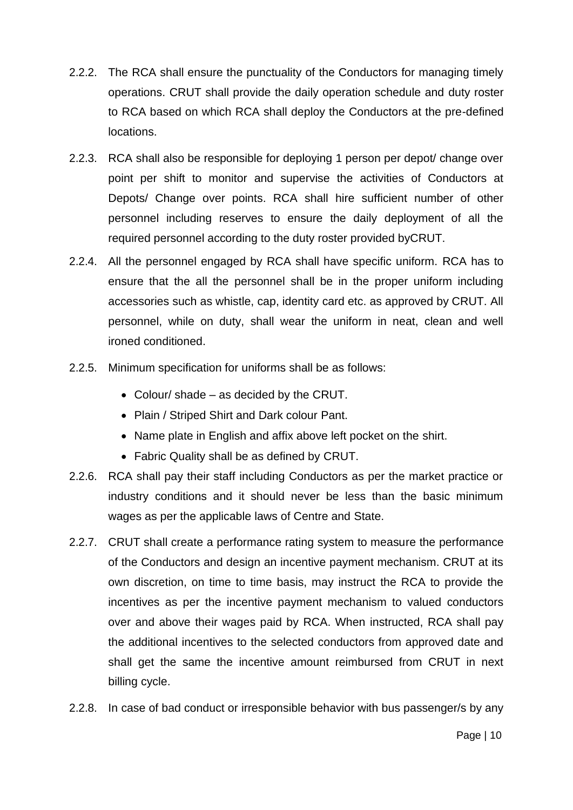- 2.2.2. The RCA shall ensure the punctuality of the Conductors for managing timely operations. CRUT shall provide the daily operation schedule and duty roster to RCA based on which RCA shall deploy the Conductors at the pre-defined locations.
- 2.2.3. RCA shall also be responsible for deploying 1 person per depot/ change over point per shift to monitor and supervise the activities of Conductors at Depots/ Change over points. RCA shall hire sufficient number of other personnel including reserves to ensure the daily deployment of all the required personnel according to the duty roster provided byCRUT.
- 2.2.4. All the personnel engaged by RCA shall have specific uniform. RCA has to ensure that the all the personnel shall be in the proper uniform including accessories such as whistle, cap, identity card etc. as approved by CRUT. All personnel, while on duty, shall wear the uniform in neat, clean and well ironed conditioned.
- 2.2.5. Minimum specification for uniforms shall be as follows:
	- Colour/ shade as decided by the CRUT.
	- Plain / Striped Shirt and Dark colour Pant.
	- Name plate in English and affix above left pocket on the shirt.
	- Fabric Quality shall be as defined by CRUT.
- 2.2.6. RCA shall pay their staff including Conductors as per the market practice or industry conditions and it should never be less than the basic minimum wages as per the applicable laws of Centre and State.
- 2.2.7. CRUT shall create a performance rating system to measure the performance of the Conductors and design an incentive payment mechanism. CRUT at its own discretion, on time to time basis, may instruct the RCA to provide the incentives as per the incentive payment mechanism to valued conductors over and above their wages paid by RCA. When instructed, RCA shall pay the additional incentives to the selected conductors from approved date and shall get the same the incentive amount reimbursed from CRUT in next billing cycle.
- 2.2.8. In case of bad conduct or irresponsible behavior with bus passenger/s by any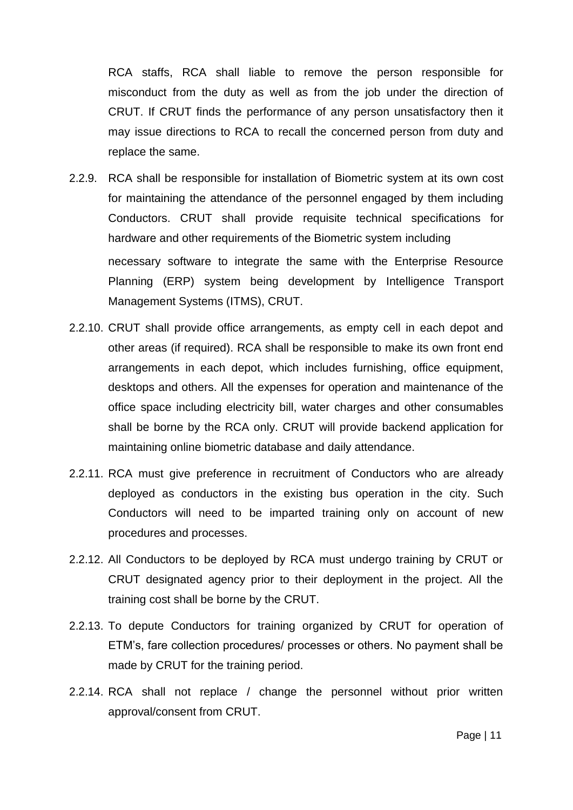RCA staffs, RCA shall liable to remove the person responsible for misconduct from the duty as well as from the job under the direction of CRUT. If CRUT finds the performance of any person unsatisfactory then it may issue directions to RCA to recall the concerned person from duty and replace the same.

- 2.2.9. RCA shall be responsible for installation of Biometric system at its own cost for maintaining the attendance of the personnel engaged by them including Conductors. CRUT shall provide requisite technical specifications for hardware and other requirements of the Biometric system including necessary software to integrate the same with the Enterprise Resource Planning (ERP) system being development by Intelligence Transport Management Systems (ITMS), CRUT.
- 2.2.10. CRUT shall provide office arrangements, as empty cell in each depot and other areas (if required). RCA shall be responsible to make its own front end arrangements in each depot, which includes furnishing, office equipment, desktops and others. All the expenses for operation and maintenance of the office space including electricity bill, water charges and other consumables shall be borne by the RCA only. CRUT will provide backend application for maintaining online biometric database and daily attendance.
- 2.2.11. RCA must give preference in recruitment of Conductors who are already deployed as conductors in the existing bus operation in the city. Such Conductors will need to be imparted training only on account of new procedures and processes.
- 2.2.12. All Conductors to be deployed by RCA must undergo training by CRUT or CRUT designated agency prior to their deployment in the project. All the training cost shall be borne by the CRUT.
- 2.2.13. To depute Conductors for training organized by CRUT for operation of ETM's, fare collection procedures/ processes or others. No payment shall be made by CRUT for the training period.
- 2.2.14. RCA shall not replace / change the personnel without prior written approval/consent from CRUT.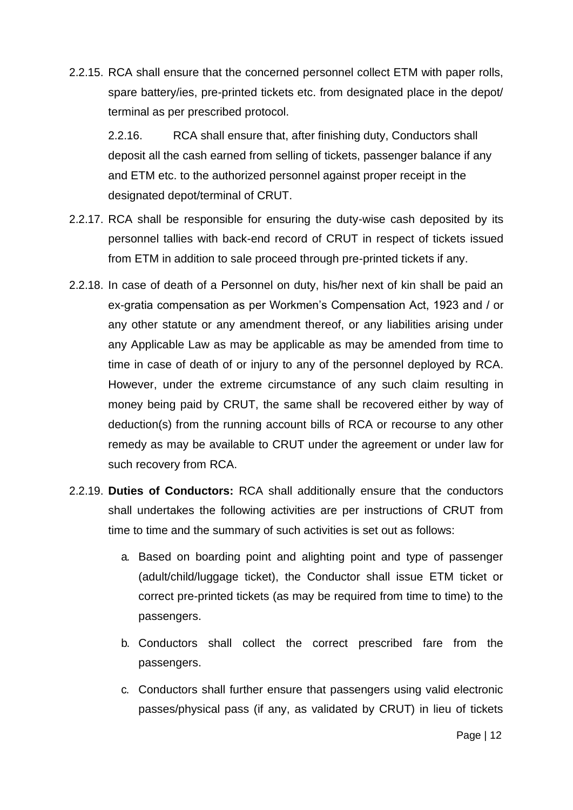2.2.15. RCA shall ensure that the concerned personnel collect ETM with paper rolls, spare battery/ies, pre-printed tickets etc. from designated place in the depot/ terminal as per prescribed protocol.

2.2.16. RCA shall ensure that, after finishing duty, Conductors shall deposit all the cash earned from selling of tickets, passenger balance if any and ETM etc. to the authorized personnel against proper receipt in the designated depot/terminal of CRUT.

- 2.2.17. RCA shall be responsible for ensuring the duty-wise cash deposited by its personnel tallies with back-end record of CRUT in respect of tickets issued from ETM in addition to sale proceed through pre-printed tickets if any.
- 2.2.18. In case of death of a Personnel on duty, his/her next of kin shall be paid an ex-gratia compensation as per Workmen's Compensation Act, 1923 and / or any other statute or any amendment thereof, or any liabilities arising under any Applicable Law as may be applicable as may be amended from time to time in case of death of or injury to any of the personnel deployed by RCA. However, under the extreme circumstance of any such claim resulting in money being paid by CRUT, the same shall be recovered either by way of deduction(s) from the running account bills of RCA or recourse to any other remedy as may be available to CRUT under the agreement or under law for such recovery from RCA.
- 2.2.19. **Duties of Conductors:** RCA shall additionally ensure that the conductors shall undertakes the following activities are per instructions of CRUT from time to time and the summary of such activities is set out as follows:
	- a. Based on boarding point and alighting point and type of passenger (adult/child/luggage ticket), the Conductor shall issue ETM ticket or correct pre-printed tickets (as may be required from time to time) to the passengers.
	- b. Conductors shall collect the correct prescribed fare from the passengers.
	- c. Conductors shall further ensure that passengers using valid electronic passes/physical pass (if any, as validated by CRUT) in lieu of tickets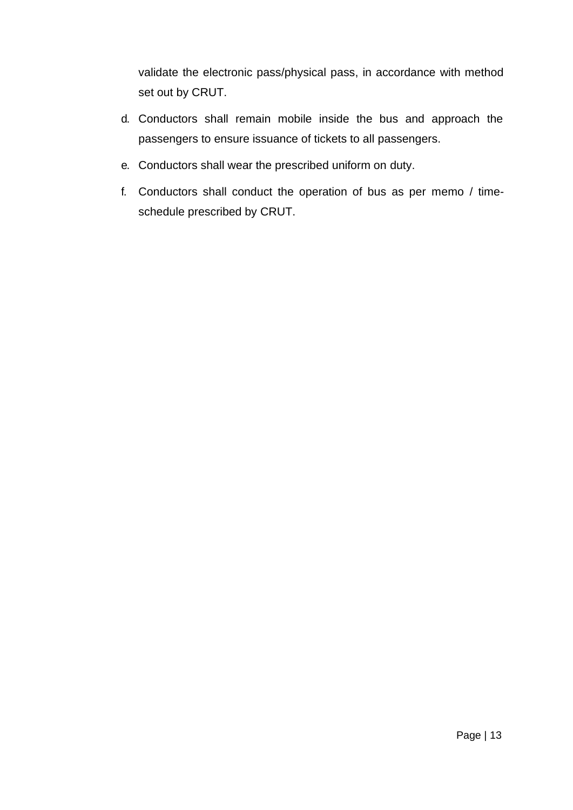validate the electronic pass/physical pass, in accordance with method set out by CRUT.

- d. Conductors shall remain mobile inside the bus and approach the passengers to ensure issuance of tickets to all passengers.
- e. Conductors shall wear the prescribed uniform on duty.
- f. Conductors shall conduct the operation of bus as per memo / timeschedule prescribed by CRUT.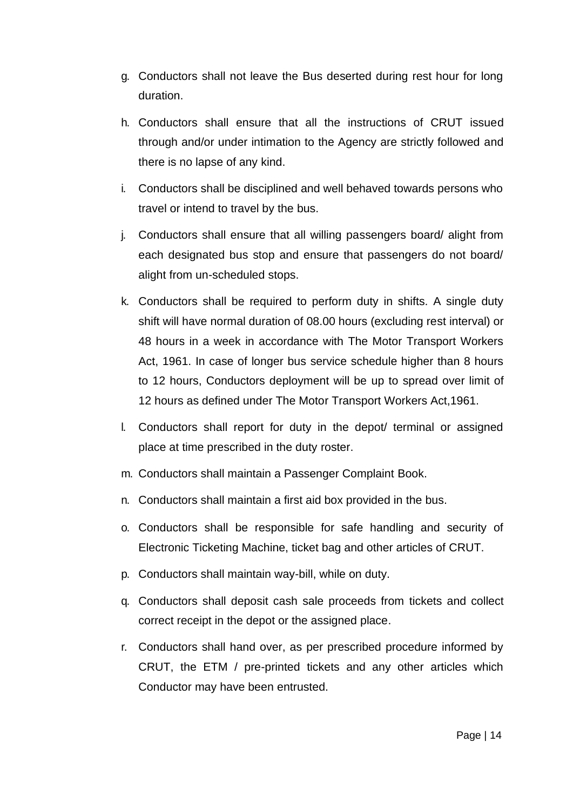- g. Conductors shall not leave the Bus deserted during rest hour for long duration.
- h. Conductors shall ensure that all the instructions of CRUT issued through and/or under intimation to the Agency are strictly followed and there is no lapse of any kind.
- i. Conductors shall be disciplined and well behaved towards persons who travel or intend to travel by the bus.
- j. Conductors shall ensure that all willing passengers board/ alight from each designated bus stop and ensure that passengers do not board/ alight from un-scheduled stops.
- k. Conductors shall be required to perform duty in shifts. A single duty shift will have normal duration of 08.00 hours (excluding rest interval) or 48 hours in a week in accordance with The Motor Transport Workers Act, 1961. In case of longer bus service schedule higher than 8 hours to 12 hours, Conductors deployment will be up to spread over limit of 12 hours as defined under The Motor Transport Workers Act,1961.
- l. Conductors shall report for duty in the depot/ terminal or assigned place at time prescribed in the duty roster.
- m. Conductors shall maintain a Passenger Complaint Book.
- n. Conductors shall maintain a first aid box provided in the bus.
- o. Conductors shall be responsible for safe handling and security of Electronic Ticketing Machine, ticket bag and other articles of CRUT.
- p. Conductors shall maintain way-bill, while on duty.
- q. Conductors shall deposit cash sale proceeds from tickets and collect correct receipt in the depot or the assigned place.
- r. Conductors shall hand over, as per prescribed procedure informed by CRUT, the ETM / pre-printed tickets and any other articles which Conductor may have been entrusted.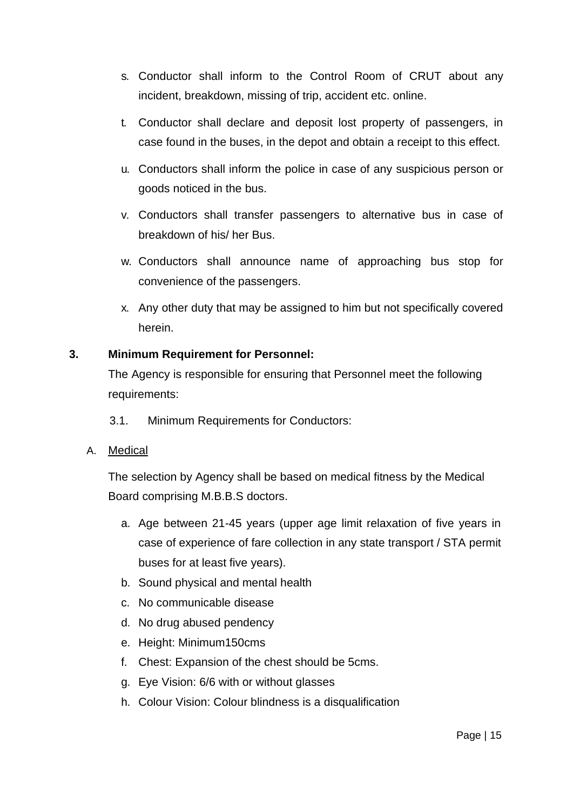- s. Conductor shall inform to the Control Room of CRUT about any incident, breakdown, missing of trip, accident etc. online.
- t. Conductor shall declare and deposit lost property of passengers, in case found in the buses, in the depot and obtain a receipt to this effect.
- u. Conductors shall inform the police in case of any suspicious person or goods noticed in the bus.
- v. Conductors shall transfer passengers to alternative bus in case of breakdown of his/ her Bus.
- w. Conductors shall announce name of approaching bus stop for convenience of the passengers.
- x. Any other duty that may be assigned to him but not specifically covered herein.

# **3. Minimum Requirement for Personnel:**

The Agency is responsible for ensuring that Personnel meet the following requirements:

- 3.1. Minimum Requirements for Conductors:
- A. Medical

The selection by Agency shall be based on medical fitness by the Medical Board comprising M.B.B.S doctors.

- a. Age between 21-45 years (upper age limit relaxation of five years in case of experience of fare collection in any state transport / STA permit buses for at least five years).
- b. Sound physical and mental health
- c. No communicable disease
- d. No drug abused pendency
- e. Height: Minimum150cms
- f. Chest: Expansion of the chest should be 5cms.
- g. Eye Vision: 6/6 with or without glasses
- h. Colour Vision: Colour blindness is a disqualification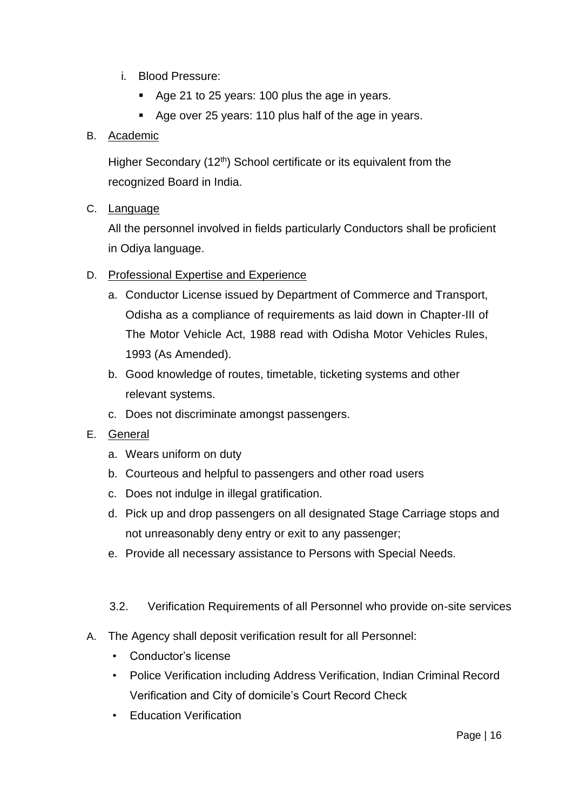- i. Blood Pressure:
	- Age 21 to 25 years: 100 plus the age in years.
	- Age over 25 years: 110 plus half of the age in years.

# B. Academic

Higher Secondary (12<sup>th</sup>) School certificate or its equivalent from the recognized Board in India.

# C. Language

All the personnel involved in fields particularly Conductors shall be proficient in Odiya language.

# D. Professional Expertise and Experience

- a. Conductor License issued by Department of Commerce and Transport, Odisha as a compliance of requirements as laid down in Chapter-III of The Motor Vehicle Act, 1988 read with Odisha Motor Vehicles Rules, 1993 (As Amended).
- b. Good knowledge of routes, timetable, ticketing systems and other relevant systems.
- c. Does not discriminate amongst passengers.

# E. General

- a. Wears uniform on duty
- b. Courteous and helpful to passengers and other road users
- c. Does not indulge in illegal gratification.
- d. Pick up and drop passengers on all designated Stage Carriage stops and not unreasonably deny entry or exit to any passenger;
- e. Provide all necessary assistance to Persons with Special Needs.

#### 3.2. Verification Requirements of all Personnel who provide on-site services

- A. The Agency shall deposit verification result for all Personnel:
	- Conductor's license
	- Police Verification including Address Verification, Indian Criminal Record Verification and City of domicile's Court Record Check
	- Education Verification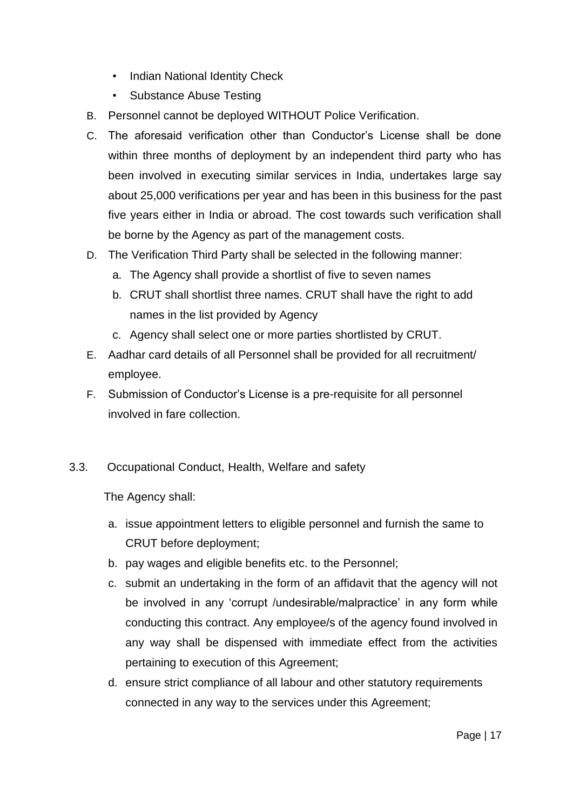- Indian National Identity Check
- Substance Abuse Testing
- B. Personnel cannot be deployed WITHOUT Police Verification.
- C. The aforesaid verification other than Conductor's License shall be done within three months of deployment by an independent third party who has been involved in executing similar services in India, undertakes large say about 25,000 verifications per year and has been in this business for the past five years either in India or abroad. The cost towards such verification shall be borne by the Agency as part of the management costs.
- D. The Verification Third Party shall be selected in the following manner:
	- a. The Agency shall provide a shortlist of five to seven names
	- b. CRUT shall shortlist three names. CRUT shall have the right to add names in the list provided by Agency
	- c. Agency shall select one or more parties shortlisted by CRUT.
- E. Aadhar card details of all Personnel shall be provided for all recruitment/ employee.
- F. Submission of Conductor's License is a pre-requisite for all personnel involved in fare collection.
- 3.3. Occupational Conduct, Health, Welfare and safety

The Agency shall:

- a. issue appointment letters to eligible personnel and furnish the same to CRUT before deployment;
- b. pay wages and eligible benefits etc. to the Personnel;
- c. submit an undertaking in the form of an affidavit that the agency will not be involved in any 'corrupt /undesirable/malpractice' in any form while conducting this contract. Any employee/s of the agency found involved in any way shall be dispensed with immediate effect from the activities pertaining to execution of this Agreement;
- d. ensure strict compliance of all labour and other statutory requirements connected in any way to the services under this Agreement;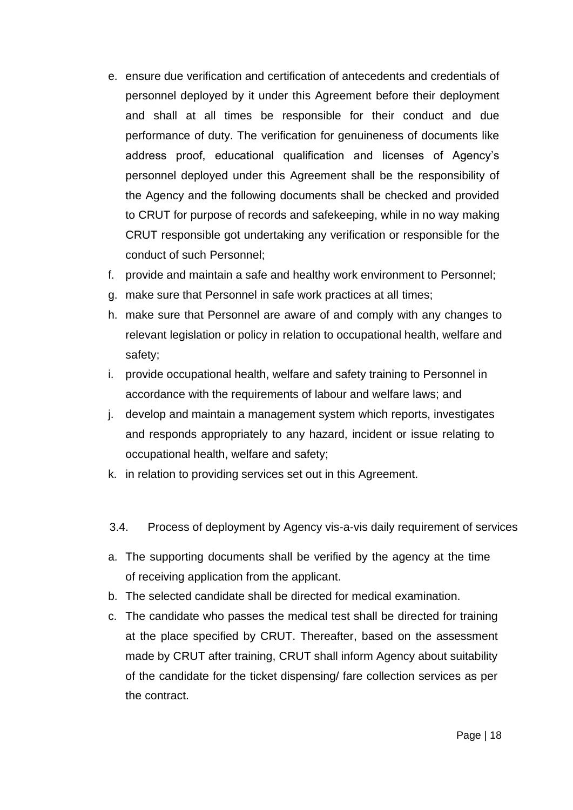- e. ensure due verification and certification of antecedents and credentials of personnel deployed by it under this Agreement before their deployment and shall at all times be responsible for their conduct and due performance of duty. The verification for genuineness of documents like address proof, educational qualification and licenses of Agency's personnel deployed under this Agreement shall be the responsibility of the Agency and the following documents shall be checked and provided to CRUT for purpose of records and safekeeping, while in no way making CRUT responsible got undertaking any verification or responsible for the conduct of such Personnel;
- f. provide and maintain a safe and healthy work environment to Personnel;
- g. make sure that Personnel in safe work practices at all times;
- h. make sure that Personnel are aware of and comply with any changes to relevant legislation or policy in relation to occupational health, welfare and safety;
- i. provide occupational health, welfare and safety training to Personnel in accordance with the requirements of labour and welfare laws; and
- j. develop and maintain a management system which reports, investigates and responds appropriately to any hazard, incident or issue relating to occupational health, welfare and safety;
- k. in relation to providing services set out in this Agreement.
- 3.4. Process of deployment by Agency vis-a-vis daily requirement of services
- a. The supporting documents shall be verified by the agency at the time of receiving application from the applicant.
- b. The selected candidate shall be directed for medical examination.
- c. The candidate who passes the medical test shall be directed for training at the place specified by CRUT. Thereafter, based on the assessment made by CRUT after training, CRUT shall inform Agency about suitability of the candidate for the ticket dispensing/ fare collection services as per the contract.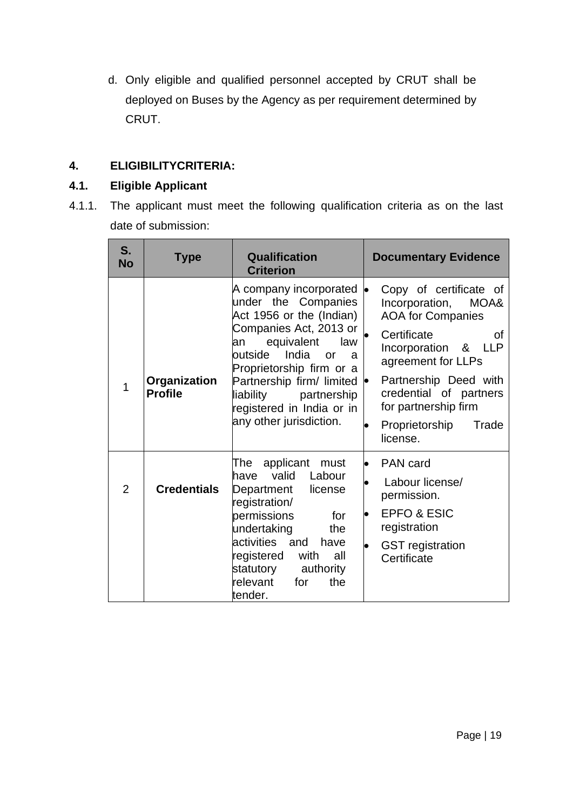d. Only eligible and qualified personnel accepted by CRUT shall be deployed on Buses by the Agency as per requirement determined by CRUT.

# **4. ELIGIBILITYCRITERIA:**

# **4.1. Eligible Applicant**

4.1.1. The applicant must meet the following qualification criteria as on the last date of submission:

| S.<br><b>No</b> | Type                           | <b>Qualification</b><br><b>Criterion</b>                                                                                                                                                                                                                                                                    | <b>Documentary Evidence</b>                                                                                                                                                                                                                                                        |
|-----------------|--------------------------------|-------------------------------------------------------------------------------------------------------------------------------------------------------------------------------------------------------------------------------------------------------------------------------------------------------------|------------------------------------------------------------------------------------------------------------------------------------------------------------------------------------------------------------------------------------------------------------------------------------|
| 1               | Organization<br><b>Profile</b> | A company incorporated<br>under the Companies<br>Act 1956 or the (Indian)<br>Companies Act, 2013 or<br>equivalent<br>law<br>an<br>India<br>outside<br>or<br>a.<br>Proprietorship firm or a<br>Partnership firm/ limited<br>liability<br>partnership<br>registered in India or in<br>any other jurisdiction. | Copy of certificate of<br>$\bullet$<br>Incorporation,<br>MOA&<br><b>AOA for Companies</b><br>Certificate<br>Ωf<br>Incorporation & LLP<br>agreement for LLPs<br>Partnership Deed with<br>þ<br>credential of partners<br>for partnership firm<br>Proprietorship<br>Trade<br>license. |
| $\overline{2}$  | <b>Credentials</b>             | applicant<br>The<br>must<br>valid Labour<br>have<br>Department<br>license<br>registration/<br>permissions<br>for<br>undertaking<br>the<br>activities and<br>have<br>registered<br>with<br>all<br>statutory<br>authority<br>relevant<br>the<br>for<br>tender.                                                | PAN card<br>lo<br>Labour license/<br>permission.<br><b>EPFO &amp; ESIC</b><br>registration<br><b>GST</b> registration<br>Certificate                                                                                                                                               |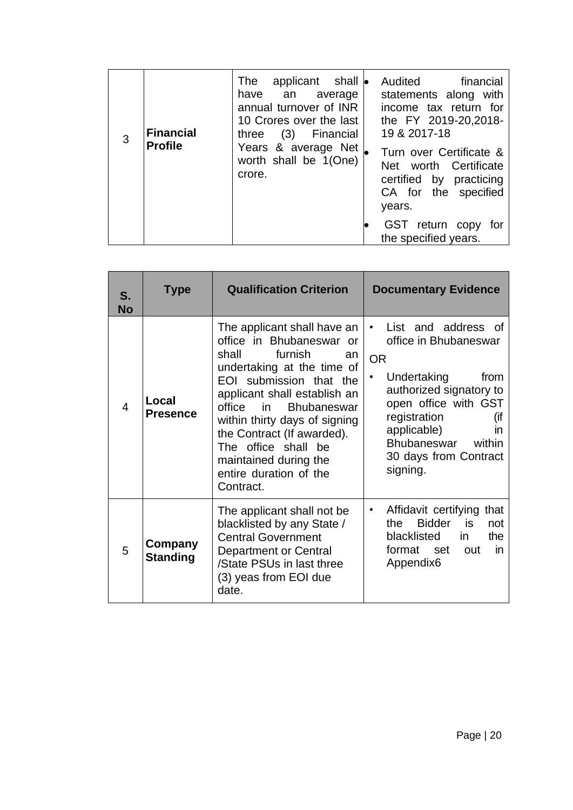| 3 | <b>Financial</b><br><b>Profile</b> | applicant shall <b>•</b><br>The<br>have<br>an an<br>average<br>annual turnover of INR<br>10 Crores over the last<br>three $(3)$<br>Financial<br>Years & average Net<br>worth shall be 1(One)<br>crore. | Audited financial<br>statements along with<br>income tax return for<br>the FY 2019-20,2018-<br>19 & 2017-18<br>Turn over Certificate &<br>Net worth Certificate<br>certified by practicing<br>CA for the specified<br>years. |
|---|------------------------------------|--------------------------------------------------------------------------------------------------------------------------------------------------------------------------------------------------------|------------------------------------------------------------------------------------------------------------------------------------------------------------------------------------------------------------------------------|
|   |                                    |                                                                                                                                                                                                        | GST return copy for<br>the specified years.                                                                                                                                                                                  |

| S.<br><b>No</b> | <b>Type</b>                                                                                                                                                                                                        | <b>Qualification Criterion</b>                                                                                                                                                                                                                                                                                                                                            | <b>Documentary Evidence</b>                                                                                                                                                                                                                                     |  |
|-----------------|--------------------------------------------------------------------------------------------------------------------------------------------------------------------------------------------------------------------|---------------------------------------------------------------------------------------------------------------------------------------------------------------------------------------------------------------------------------------------------------------------------------------------------------------------------------------------------------------------------|-----------------------------------------------------------------------------------------------------------------------------------------------------------------------------------------------------------------------------------------------------------------|--|
| $\overline{4}$  | Local<br><b>Presence</b>                                                                                                                                                                                           | The applicant shall have an<br>office in Bhubaneswar or<br>furnish<br>shall<br>an<br>undertaking at the time of<br>EOI submission that the<br>applicant shall establish an<br>office<br>in in<br><b>Bhubaneswar</b><br>within thirty days of signing<br>the Contract (If awarded).<br>The office shall be<br>maintained during the<br>entire duration of the<br>Contract. | List and address of<br>$\bullet$<br>office in Bhubaneswar<br><b>OR</b><br>Undertaking<br>from<br>٠<br>authorized signatory to<br>open office with GST<br>registration<br>(if<br>applicable)<br>in<br>Bhubaneswar<br>within<br>30 days from Contract<br>signing. |  |
| 5               | The applicant shall not be<br>blacklisted by any State /<br><b>Central Government</b><br>Company<br><b>Department or Central</b><br><b>Standing</b><br>/State PSUs in last three<br>(3) yeas from EOI due<br>date. |                                                                                                                                                                                                                                                                                                                                                                           | Affidavit certifying that<br>$\bullet$<br><b>Bidder</b><br>is<br>the<br>not<br>blacklisted<br>the<br>in.<br>format set out<br>in<br>Appendix <sub>6</sub>                                                                                                       |  |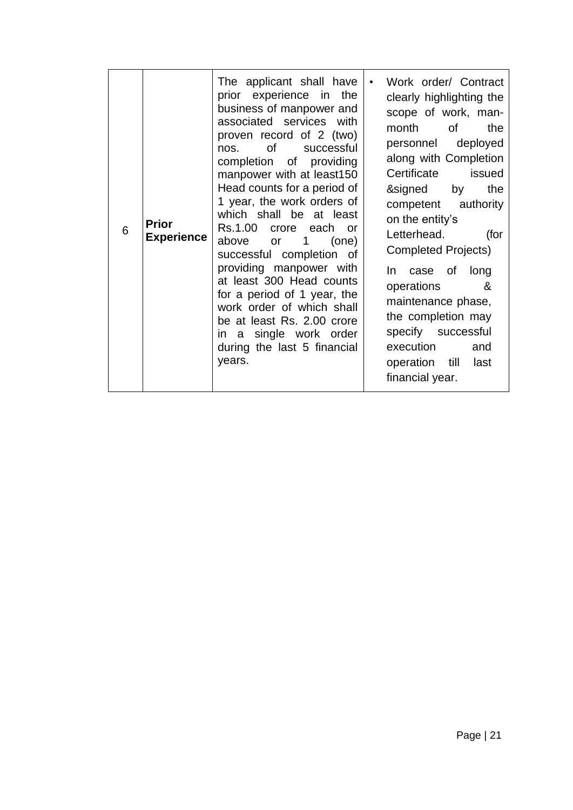| <b>Prior</b><br>6 | <b>Experience</b> | The applicant shall have<br>prior experience in the<br>business of manpower and<br>associated services with<br>proven record of 2 (two)<br>of<br>successful<br>nos.<br>completion of providing<br>manpower with at least150<br>Head counts for a period of<br>1 year, the work orders of<br>which shall be at least<br>Rs.1.00<br>crore each<br>or o<br>above or 1<br>(one)<br>successful completion of<br>providing manpower with<br>at least 300 Head counts<br>for a period of 1 year, the<br>work order of which shall<br>be at least Rs. 2.00 crore<br>in a single work order<br>during the last 5 financial<br>years. | Work order/ Contract<br>clearly highlighting the<br>scope of work, man-<br>month of<br>the<br>deployed<br>personnel<br>along with Completion<br>Certificate<br>issued<br>&signed<br>the<br>by<br>competent authority<br>on the entity's<br>Letterhead.<br>(for<br><b>Completed Projects)</b><br>In case of long<br>&<br>operations<br>maintenance phase,<br>the completion may<br>specify successful<br>execution<br>and<br>operation till<br>last<br>financial year. |
|-------------------|-------------------|-----------------------------------------------------------------------------------------------------------------------------------------------------------------------------------------------------------------------------------------------------------------------------------------------------------------------------------------------------------------------------------------------------------------------------------------------------------------------------------------------------------------------------------------------------------------------------------------------------------------------------|-----------------------------------------------------------------------------------------------------------------------------------------------------------------------------------------------------------------------------------------------------------------------------------------------------------------------------------------------------------------------------------------------------------------------------------------------------------------------|
|-------------------|-------------------|-----------------------------------------------------------------------------------------------------------------------------------------------------------------------------------------------------------------------------------------------------------------------------------------------------------------------------------------------------------------------------------------------------------------------------------------------------------------------------------------------------------------------------------------------------------------------------------------------------------------------------|-----------------------------------------------------------------------------------------------------------------------------------------------------------------------------------------------------------------------------------------------------------------------------------------------------------------------------------------------------------------------------------------------------------------------------------------------------------------------|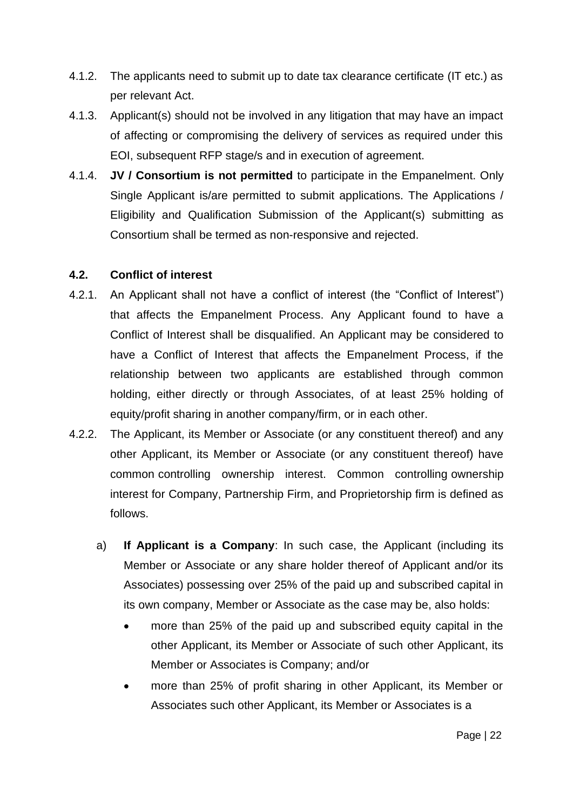- 4.1.2. The applicants need to submit up to date tax clearance certificate (IT etc.) as per relevant Act.
- 4.1.3. Applicant(s) should not be involved in any litigation that may have an impact of affecting or compromising the delivery of services as required under this EOI, subsequent RFP stage/s and in execution of agreement.
- 4.1.4. **JV / Consortium is not permitted** to participate in the Empanelment. Only Single Applicant is/are permitted to submit applications. The Applications / Eligibility and Qualification Submission of the Applicant(s) submitting as Consortium shall be termed as non-responsive and rejected.

# **4.2. Conflict of interest**

- 4.2.1. An Applicant shall not have a conflict of interest (the "Conflict of Interest") that affects the Empanelment Process. Any Applicant found to have a Conflict of Interest shall be disqualified. An Applicant may be considered to have a Conflict of Interest that affects the Empanelment Process, if the relationship between two applicants are established through common holding, either directly or through Associates, of at least 25% holding of equity/profit sharing in another company/firm, or in each other.
- 4.2.2. The Applicant, its Member or Associate (or any constituent thereof) and any other Applicant, its Member or Associate (or any constituent thereof) have common controlling ownership interest. Common controlling ownership interest for Company, Partnership Firm, and Proprietorship firm is defined as follows.
	- a) **If Applicant is a Company**: In such case, the Applicant (including its Member or Associate or any share holder thereof of Applicant and/or its Associates) possessing over 25% of the paid up and subscribed capital in its own company, Member or Associate as the case may be, also holds:
		- more than 25% of the paid up and subscribed equity capital in the other Applicant, its Member or Associate of such other Applicant, its Member or Associates is Company; and/or
		- more than 25% of profit sharing in other Applicant, its Member or Associates such other Applicant, its Member or Associates is a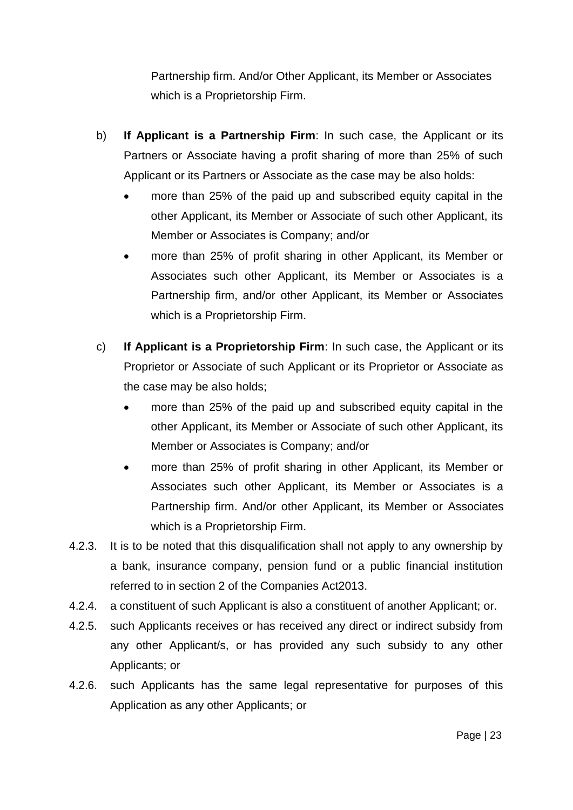Partnership firm. And/or Other Applicant, its Member or Associates which is a Proprietorship Firm.

- b) **If Applicant is a Partnership Firm**: In such case, the Applicant or its Partners or Associate having a profit sharing of more than 25% of such Applicant or its Partners or Associate as the case may be also holds:
	- more than 25% of the paid up and subscribed equity capital in the other Applicant, its Member or Associate of such other Applicant, its Member or Associates is Company; and/or
	- more than 25% of profit sharing in other Applicant, its Member or Associates such other Applicant, its Member or Associates is a Partnership firm, and/or other Applicant, its Member or Associates which is a Proprietorship Firm.
- c) **If Applicant is a Proprietorship Firm**: In such case, the Applicant or its Proprietor or Associate of such Applicant or its Proprietor or Associate as the case may be also holds;
	- more than 25% of the paid up and subscribed equity capital in the other Applicant, its Member or Associate of such other Applicant, its Member or Associates is Company; and/or
	- more than 25% of profit sharing in other Applicant, its Member or Associates such other Applicant, its Member or Associates is a Partnership firm. And/or other Applicant, its Member or Associates which is a Proprietorship Firm.
- 4.2.3. It is to be noted that this disqualification shall not apply to any ownership by a bank, insurance company, pension fund or a public financial institution referred to in section 2 of the Companies Act2013.
- 4.2.4. a constituent of such Applicant is also a constituent of another Applicant; or.
- 4.2.5. such Applicants receives or has received any direct or indirect subsidy from any other Applicant/s, or has provided any such subsidy to any other Applicants; or
- 4.2.6. such Applicants has the same legal representative for purposes of this Application as any other Applicants; or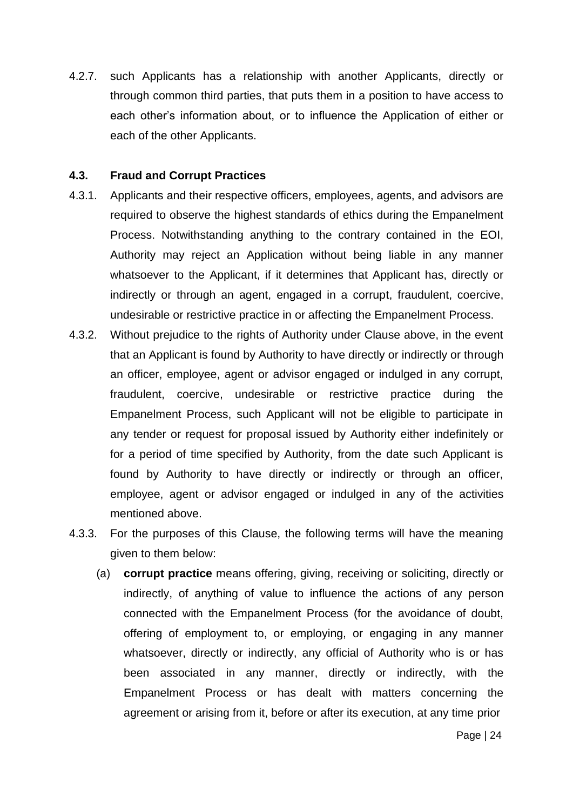4.2.7. such Applicants has a relationship with another Applicants, directly or through common third parties, that puts them in a position to have access to each other's information about, or to influence the Application of either or each of the other Applicants.

#### **4.3. Fraud and Corrupt Practices**

- 4.3.1. Applicants and their respective officers, employees, agents, and advisors are required to observe the highest standards of ethics during the Empanelment Process. Notwithstanding anything to the contrary contained in the EOI, Authority may reject an Application without being liable in any manner whatsoever to the Applicant, if it determines that Applicant has, directly or indirectly or through an agent, engaged in a corrupt, fraudulent, coercive, undesirable or restrictive practice in or affecting the Empanelment Process.
- 4.3.2. Without prejudice to the rights of Authority under Clause above, in the event that an Applicant is found by Authority to have directly or indirectly or through an officer, employee, agent or advisor engaged or indulged in any corrupt, fraudulent, coercive, undesirable or restrictive practice during the Empanelment Process, such Applicant will not be eligible to participate in any tender or request for proposal issued by Authority either indefinitely or for a period of time specified by Authority, from the date such Applicant is found by Authority to have directly or indirectly or through an officer, employee, agent or advisor engaged or indulged in any of the activities mentioned above.
- 4.3.3. For the purposes of this Clause, the following terms will have the meaning given to them below:
	- (a) **corrupt practice** means offering, giving, receiving or soliciting, directly or indirectly, of anything of value to influence the actions of any person connected with the Empanelment Process (for the avoidance of doubt, offering of employment to, or employing, or engaging in any manner whatsoever, directly or indirectly, any official of Authority who is or has been associated in any manner, directly or indirectly, with the Empanelment Process or has dealt with matters concerning the agreement or arising from it, before or after its execution, at any time prior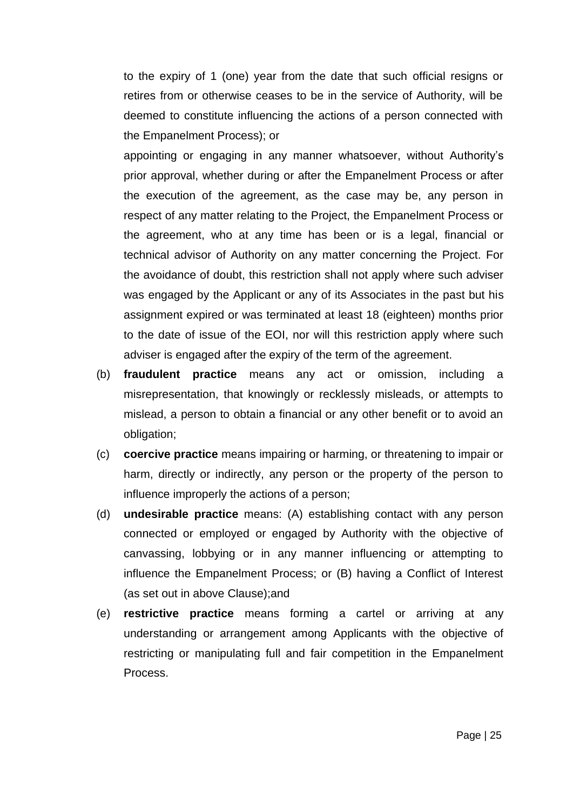to the expiry of 1 (one) year from the date that such official resigns or retires from or otherwise ceases to be in the service of Authority, will be deemed to constitute influencing the actions of a person connected with the Empanelment Process); or

appointing or engaging in any manner whatsoever, without Authority's prior approval, whether during or after the Empanelment Process or after the execution of the agreement, as the case may be, any person in respect of any matter relating to the Project, the Empanelment Process or the agreement, who at any time has been or is a legal, financial or technical advisor of Authority on any matter concerning the Project. For the avoidance of doubt, this restriction shall not apply where such adviser was engaged by the Applicant or any of its Associates in the past but his assignment expired or was terminated at least 18 (eighteen) months prior to the date of issue of the EOI, nor will this restriction apply where such adviser is engaged after the expiry of the term of the agreement.

- (b) **fraudulent practice** means any act or omission, including a misrepresentation, that knowingly or recklessly misleads, or attempts to mislead, a person to obtain a financial or any other benefit or to avoid an obligation;
- (c) **coercive practice** means impairing or harming, or threatening to impair or harm, directly or indirectly, any person or the property of the person to influence improperly the actions of a person;
- (d) **undesirable practice** means: (A) establishing contact with any person connected or employed or engaged by Authority with the objective of canvassing, lobbying or in any manner influencing or attempting to influence the Empanelment Process; or (B) having a Conflict of Interest (as set out in above Clause);and
- (e) **restrictive practice** means forming a cartel or arriving at any understanding or arrangement among Applicants with the objective of restricting or manipulating full and fair competition in the Empanelment Process.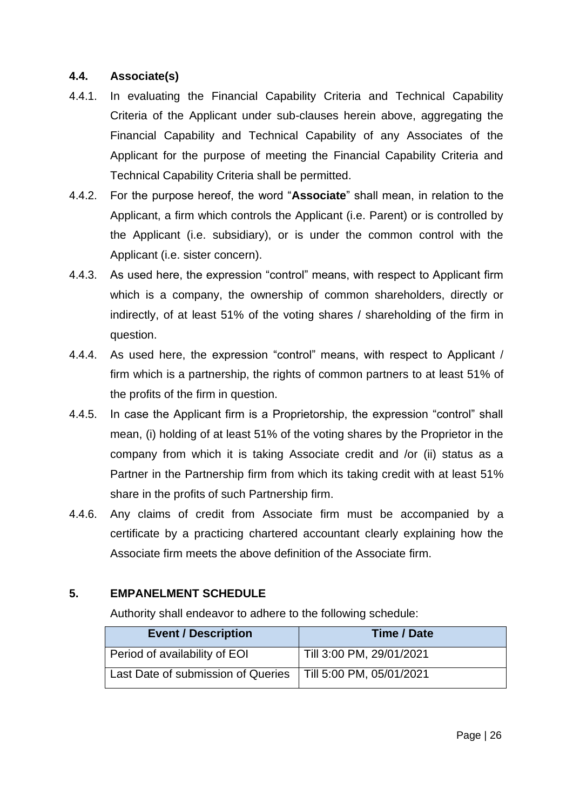# **4.4. Associate(s)**

- 4.4.1. In evaluating the Financial Capability Criteria and Technical Capability Criteria of the Applicant under sub-clauses herein above, aggregating the Financial Capability and Technical Capability of any Associates of the Applicant for the purpose of meeting the Financial Capability Criteria and Technical Capability Criteria shall be permitted.
- 4.4.2. For the purpose hereof, the word "**Associate**" shall mean, in relation to the Applicant, a firm which controls the Applicant (i.e. Parent) or is controlled by the Applicant (i.e. subsidiary), or is under the common control with the Applicant (i.e. sister concern).
- 4.4.3. As used here, the expression "control" means, with respect to Applicant firm which is a company, the ownership of common shareholders, directly or indirectly, of at least 51% of the voting shares / shareholding of the firm in question.
- 4.4.4. As used here, the expression "control" means, with respect to Applicant / firm which is a partnership, the rights of common partners to at least 51% of the profits of the firm in question.
- 4.4.5. In case the Applicant firm is a Proprietorship, the expression "control" shall mean, (i) holding of at least 51% of the voting shares by the Proprietor in the company from which it is taking Associate credit and /or (ii) status as a Partner in the Partnership firm from which its taking credit with at least 51% share in the profits of such Partnership firm.
- 4.4.6. Any claims of credit from Associate firm must be accompanied by a certificate by a practicing chartered accountant clearly explaining how the Associate firm meets the above definition of the Associate firm.

# **5. EMPANELMENT SCHEDULE**

Authority shall endeavor to adhere to the following schedule:

| <b>Event / Description</b>                                    | <b>Time / Date</b>       |
|---------------------------------------------------------------|--------------------------|
| Period of availability of EOI                                 | Till 3:00 PM, 29/01/2021 |
| Last Date of submission of Queries   Till 5:00 PM, 05/01/2021 |                          |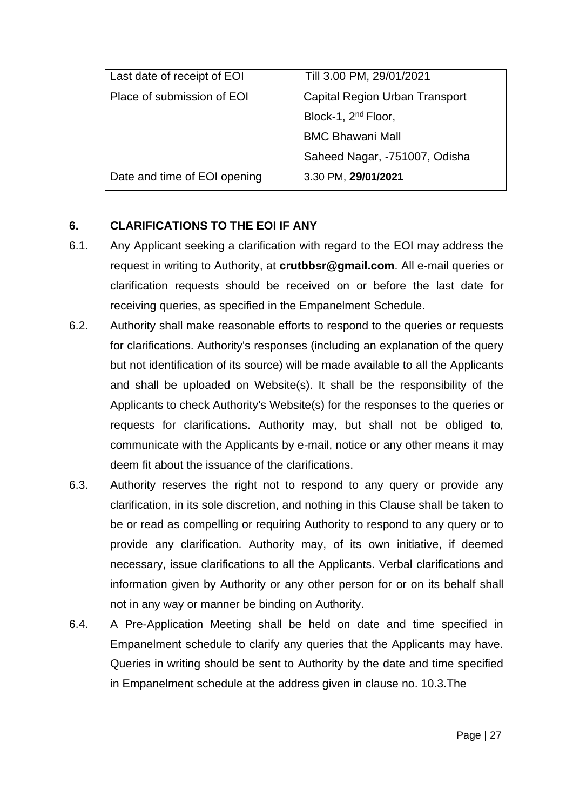| Last date of receipt of EOI  | Till 3.00 PM, 29/01/2021        |
|------------------------------|---------------------------------|
| Place of submission of EOI   | Capital Region Urban Transport  |
|                              | Block-1, 2 <sup>nd</sup> Floor, |
|                              | <b>BMC Bhawani Mall</b>         |
|                              | Saheed Nagar, -751007, Odisha   |
| Date and time of EOI opening | 3.30 PM, 29/01/2021             |

# **6. CLARIFICATIONS TO THE EOI IF ANY**

- 6.1. Any Applicant seeking a clarification with regard to the EOI may address the request in writing to Authority, at **[crutbbsr@gmail.com](mailto:crutbbsr@gmail.com)**. All e-mail queries or clarification requests should be received on or before the last date for receiving queries, as specified in the Empanelment Schedule.
- 6.2. Authority shall make reasonable efforts to respond to the queries or requests for clarifications. Authority's responses (including an explanation of the query but not identification of its source) will be made available to all the Applicants and shall be uploaded on Website(s). It shall be the responsibility of the Applicants to check Authority's Website(s) for the responses to the queries or requests for clarifications. Authority may, but shall not be obliged to, communicate with the Applicants by e-mail, notice or any other means it may deem fit about the issuance of the clarifications.
- 6.3. Authority reserves the right not to respond to any query or provide any clarification, in its sole discretion, and nothing in this Clause shall be taken to be or read as compelling or requiring Authority to respond to any query or to provide any clarification. Authority may, of its own initiative, if deemed necessary, issue clarifications to all the Applicants. Verbal clarifications and information given by Authority or any other person for or on its behalf shall not in any way or manner be binding on Authority.
- 6.4. A Pre-Application Meeting shall be held on date and time specified in Empanelment schedule to clarify any queries that the Applicants may have. Queries in writing should be sent to Authority by the date and time specified in Empanelment schedule at the address given in clause no. 10.3.The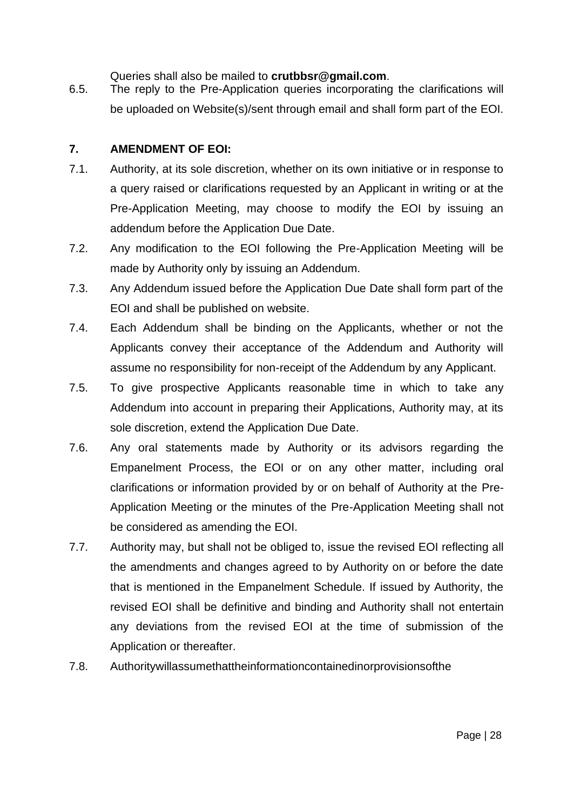Queries shall also be mailed to **[crutbbsr@gmail.com](mailto:crutbbsr@gmail.com)**.

6.5. The reply to the Pre-Application queries incorporating the clarifications will be uploaded on Website(s)/sent through email and shall form part of the EOI.

# **7. AMENDMENT OF EOI:**

- 7.1. Authority, at its sole discretion, whether on its own initiative or in response to a query raised or clarifications requested by an Applicant in writing or at the Pre-Application Meeting, may choose to modify the EOI by issuing an addendum before the Application Due Date.
- 7.2. Any modification to the EOI following the Pre-Application Meeting will be made by Authority only by issuing an Addendum.
- 7.3. Any Addendum issued before the Application Due Date shall form part of the EOI and shall be published on website.
- 7.4. Each Addendum shall be binding on the Applicants, whether or not the Applicants convey their acceptance of the Addendum and Authority will assume no responsibility for non-receipt of the Addendum by any Applicant.
- 7.5. To give prospective Applicants reasonable time in which to take any Addendum into account in preparing their Applications, Authority may, at its sole discretion, extend the Application Due Date.
- 7.6. Any oral statements made by Authority or its advisors regarding the Empanelment Process, the EOI or on any other matter, including oral clarifications or information provided by or on behalf of Authority at the Pre-Application Meeting or the minutes of the Pre-Application Meeting shall not be considered as amending the EOI.
- 7.7. Authority may, but shall not be obliged to, issue the revised EOI reflecting all the amendments and changes agreed to by Authority on or before the date that is mentioned in the Empanelment Schedule. If issued by Authority, the revised EOI shall be definitive and binding and Authority shall not entertain any deviations from the revised EOI at the time of submission of the Application or thereafter.
- 7.8. Authoritywillassumethattheinformationcontainedinorprovisionsofthe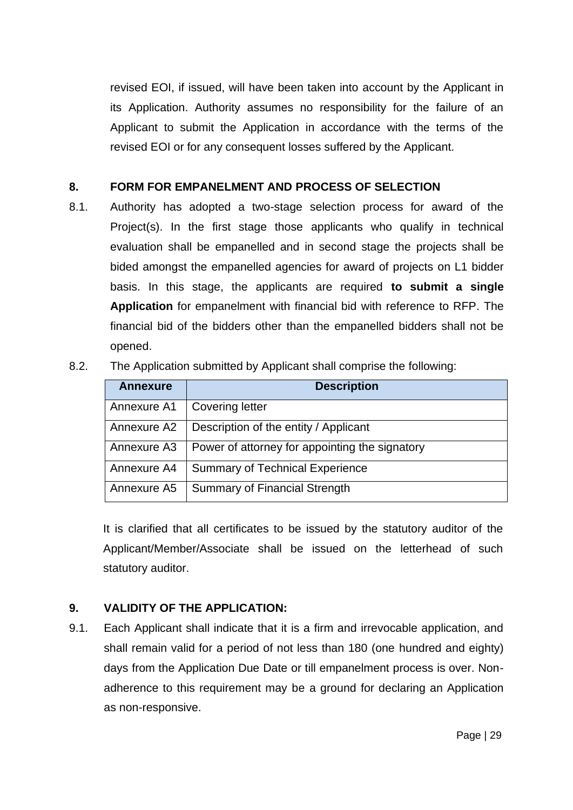revised EOI, if issued, will have been taken into account by the Applicant in its Application. Authority assumes no responsibility for the failure of an Applicant to submit the Application in accordance with the terms of the revised EOI or for any consequent losses suffered by the Applicant.

# **8. FORM FOR EMPANELMENT AND PROCESS OF SELECTION**

8.1. Authority has adopted a two-stage selection process for award of the Project(s). In the first stage those applicants who qualify in technical evaluation shall be empanelled and in second stage the projects shall be bided amongst the empanelled agencies for award of projects on L1 bidder basis. In this stage, the applicants are required **to submit a single Application** for empanelment with financial bid with reference to RFP. The financial bid of the bidders other than the empanelled bidders shall not be opened.

| 8.2. | The Application submitted by Applicant shall comprise the following: |  |  |  |  |
|------|----------------------------------------------------------------------|--|--|--|--|
|------|----------------------------------------------------------------------|--|--|--|--|

| <b>Annexure</b> | <b>Description</b>                             |
|-----------------|------------------------------------------------|
| Annexure A1     | <b>Covering letter</b>                         |
| Annexure A2     | Description of the entity / Applicant          |
| Annexure A3     | Power of attorney for appointing the signatory |
| Annexure A4     | <b>Summary of Technical Experience</b>         |
| Annexure A5     | <b>Summary of Financial Strength</b>           |

It is clarified that all certificates to be issued by the statutory auditor of the Applicant/Member/Associate shall be issued on the letterhead of such statutory auditor.

# **9. VALIDITY OF THE APPLICATION:**

9.1. Each Applicant shall indicate that it is a firm and irrevocable application, and shall remain valid for a period of not less than 180 (one hundred and eighty) days from the Application Due Date or till empanelment process is over. Nonadherence to this requirement may be a ground for declaring an Application as non-responsive.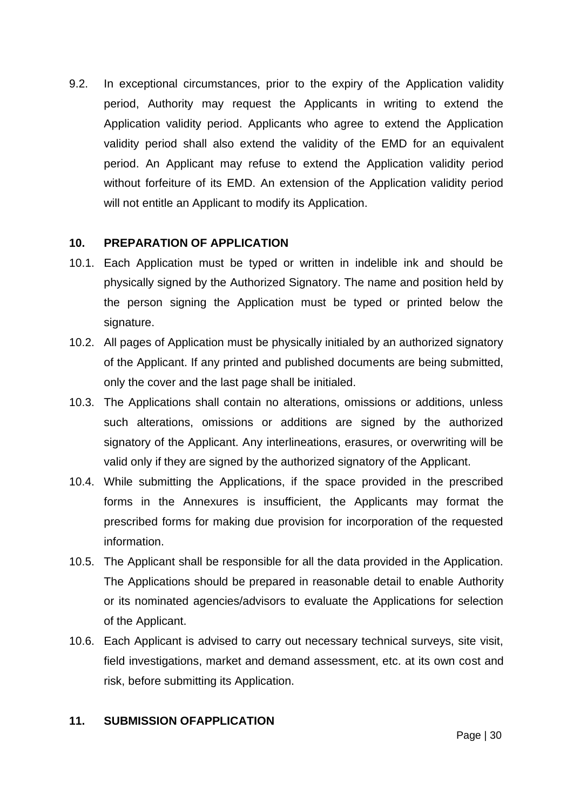9.2. In exceptional circumstances, prior to the expiry of the Application validity period, Authority may request the Applicants in writing to extend the Application validity period. Applicants who agree to extend the Application validity period shall also extend the validity of the EMD for an equivalent period. An Applicant may refuse to extend the Application validity period without forfeiture of its EMD. An extension of the Application validity period will not entitle an Applicant to modify its Application.

#### **10. PREPARATION OF APPLICATION**

- 10.1. Each Application must be typed or written in indelible ink and should be physically signed by the Authorized Signatory. The name and position held by the person signing the Application must be typed or printed below the signature.
- 10.2. All pages of Application must be physically initialed by an authorized signatory of the Applicant. If any printed and published documents are being submitted, only the cover and the last page shall be initialed.
- 10.3. The Applications shall contain no alterations, omissions or additions, unless such alterations, omissions or additions are signed by the authorized signatory of the Applicant. Any interlineations, erasures, or overwriting will be valid only if they are signed by the authorized signatory of the Applicant.
- 10.4. While submitting the Applications, if the space provided in the prescribed forms in the Annexures is insufficient, the Applicants may format the prescribed forms for making due provision for incorporation of the requested information.
- 10.5. The Applicant shall be responsible for all the data provided in the Application. The Applications should be prepared in reasonable detail to enable Authority or its nominated agencies/advisors to evaluate the Applications for selection of the Applicant.
- 10.6. Each Applicant is advised to carry out necessary technical surveys, site visit, field investigations, market and demand assessment, etc. at its own cost and risk, before submitting its Application.

# **11. SUBMISSION OFAPPLICATION**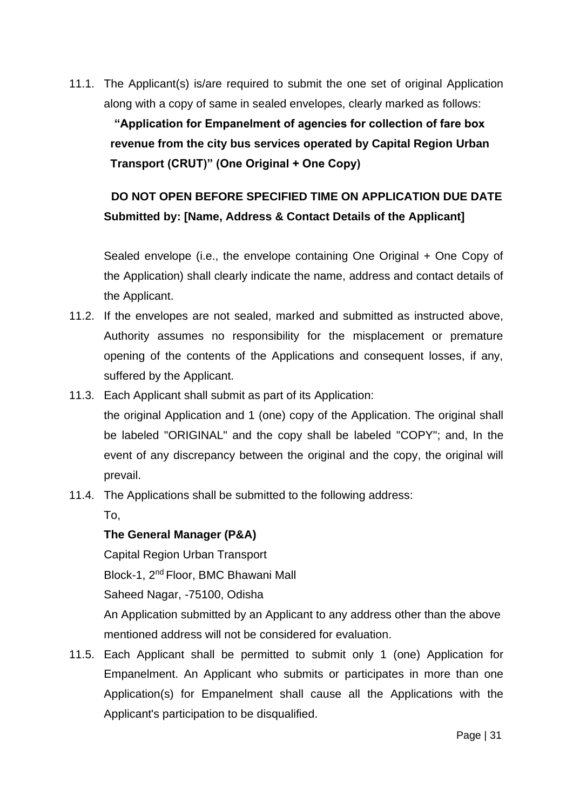11.1. The Applicant(s) is/are required to submit the one set of original Application along with a copy of same in sealed envelopes, clearly marked as follows:

**"Application for Empanelment of agencies for collection of fare box revenue from the city bus services operated by Capital Region Urban Transport (CRUT)" (One Original + One Copy)**

# **DO NOT OPEN BEFORE SPECIFIED TIME ON APPLICATION DUE DATE Submitted by: [Name, Address & Contact Details of the Applicant]**

Sealed envelope (i.e., the envelope containing One Original + One Copy of the Application) shall clearly indicate the name, address and contact details of the Applicant.

- 11.2. If the envelopes are not sealed, marked and submitted as instructed above, Authority assumes no responsibility for the misplacement or premature opening of the contents of the Applications and consequent losses, if any, suffered by the Applicant.
- 11.3. Each Applicant shall submit as part of its Application: the original Application and 1 (one) copy of the Application. The original shall be labeled "ORIGINAL" and the copy shall be labeled "COPY"; and, In the event of any discrepancy between the original and the copy, the original will prevail.
- 11.4. The Applications shall be submitted to the following address:

To,

# **The General Manager (P&A)**

Capital Region Urban Transport

Block-1, 2nd Floor, BMC Bhawani Mall

Saheed Nagar, -75100, Odisha

An Application submitted by an Applicant to any address other than the above mentioned address will not be considered for evaluation.

11.5. Each Applicant shall be permitted to submit only 1 (one) Application for Empanelment. An Applicant who submits or participates in more than one Application(s) for Empanelment shall cause all the Applications with the Applicant's participation to be disqualified.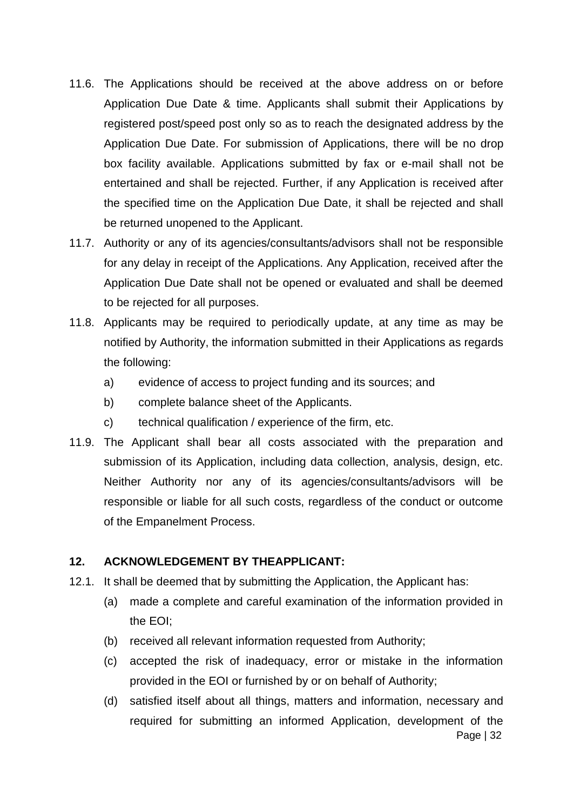- 11.6. The Applications should be received at the above address on or before Application Due Date & time. Applicants shall submit their Applications by registered post/speed post only so as to reach the designated address by the Application Due Date. For submission of Applications, there will be no drop box facility available. Applications submitted by fax or e-mail shall not be entertained and shall be rejected. Further, if any Application is received after the specified time on the Application Due Date, it shall be rejected and shall be returned unopened to the Applicant.
- 11.7. Authority or any of its agencies/consultants/advisors shall not be responsible for any delay in receipt of the Applications. Any Application, received after the Application Due Date shall not be opened or evaluated and shall be deemed to be rejected for all purposes.
- 11.8. Applicants may be required to periodically update, at any time as may be notified by Authority, the information submitted in their Applications as regards the following:
	- a) evidence of access to project funding and its sources; and
	- b) complete balance sheet of the Applicants.
	- c) technical qualification / experience of the firm, etc.
- 11.9. The Applicant shall bear all costs associated with the preparation and submission of its Application, including data collection, analysis, design, etc. Neither Authority nor any of its agencies/consultants/advisors will be responsible or liable for all such costs, regardless of the conduct or outcome of the Empanelment Process.

# **12. ACKNOWLEDGEMENT BY THEAPPLICANT:**

- 12.1. It shall be deemed that by submitting the Application, the Applicant has:
	- (a) made a complete and careful examination of the information provided in the EOI;
	- (b) received all relevant information requested from Authority;
	- (c) accepted the risk of inadequacy, error or mistake in the information provided in the EOI or furnished by or on behalf of Authority;
	- Page | 32 (d) satisfied itself about all things, matters and information, necessary and required for submitting an informed Application, development of the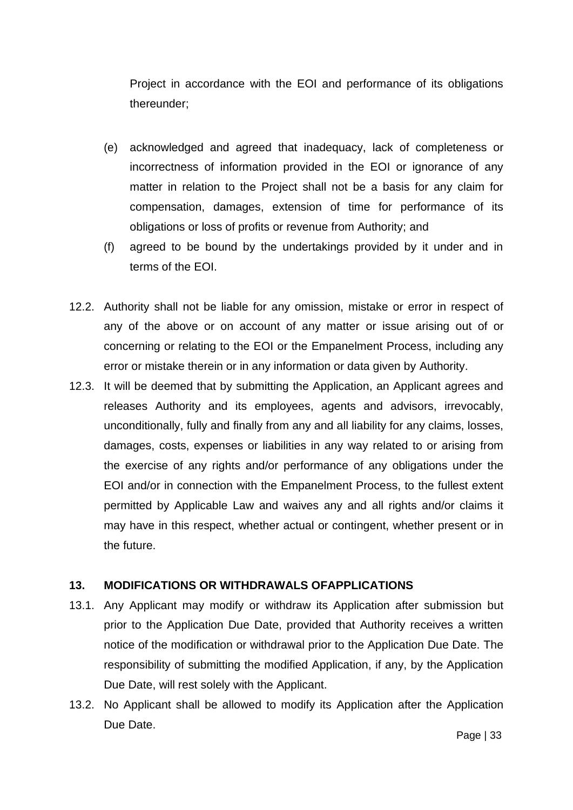Project in accordance with the EOI and performance of its obligations thereunder;

- (e) acknowledged and agreed that inadequacy, lack of completeness or incorrectness of information provided in the EOI or ignorance of any matter in relation to the Project shall not be a basis for any claim for compensation, damages, extension of time for performance of its obligations or loss of profits or revenue from Authority; and
- (f) agreed to be bound by the undertakings provided by it under and in terms of the EOI.
- 12.2. Authority shall not be liable for any omission, mistake or error in respect of any of the above or on account of any matter or issue arising out of or concerning or relating to the EOI or the Empanelment Process, including any error or mistake therein or in any information or data given by Authority.
- 12.3. It will be deemed that by submitting the Application, an Applicant agrees and releases Authority and its employees, agents and advisors, irrevocably, unconditionally, fully and finally from any and all liability for any claims, losses, damages, costs, expenses or liabilities in any way related to or arising from the exercise of any rights and/or performance of any obligations under the EOI and/or in connection with the Empanelment Process, to the fullest extent permitted by Applicable Law and waives any and all rights and/or claims it may have in this respect, whether actual or contingent, whether present or in the future.

#### **13. MODIFICATIONS OR WITHDRAWALS OFAPPLICATIONS**

- 13.1. Any Applicant may modify or withdraw its Application after submission but prior to the Application Due Date, provided that Authority receives a written notice of the modification or withdrawal prior to the Application Due Date. The responsibility of submitting the modified Application, if any, by the Application Due Date, will rest solely with the Applicant.
- 13.2. No Applicant shall be allowed to modify its Application after the Application Due Date.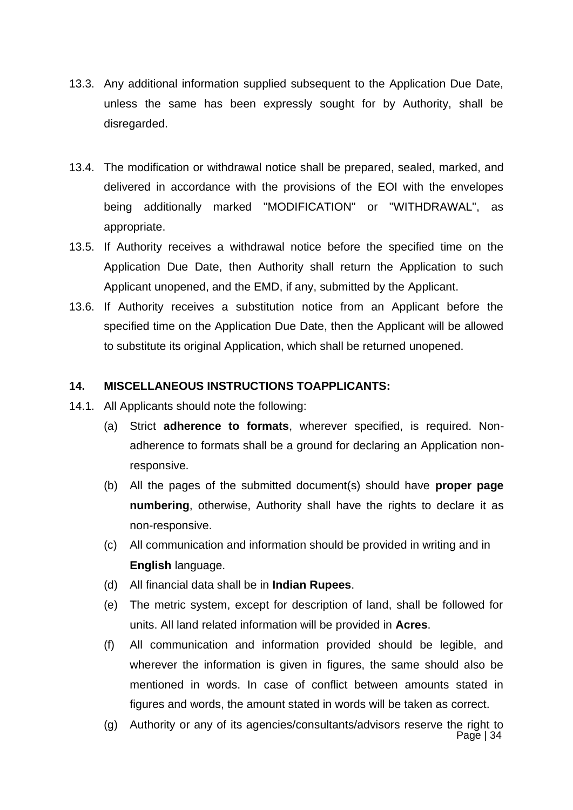- 13.3. Any additional information supplied subsequent to the Application Due Date, unless the same has been expressly sought for by Authority, shall be disregarded.
- 13.4. The modification or withdrawal notice shall be prepared, sealed, marked, and delivered in accordance with the provisions of the EOI with the envelopes being additionally marked "MODIFICATION" or "WITHDRAWAL", as appropriate.
- 13.5. If Authority receives a withdrawal notice before the specified time on the Application Due Date, then Authority shall return the Application to such Applicant unopened, and the EMD, if any, submitted by the Applicant.
- 13.6. If Authority receives a substitution notice from an Applicant before the specified time on the Application Due Date, then the Applicant will be allowed to substitute its original Application, which shall be returned unopened.

#### **14. MISCELLANEOUS INSTRUCTIONS TOAPPLICANTS:**

- 14.1. All Applicants should note the following:
	- (a) Strict **adherence to formats**, wherever specified, is required. Nonadherence to formats shall be a ground for declaring an Application nonresponsive.
	- (b) All the pages of the submitted document(s) should have **proper page numbering**, otherwise, Authority shall have the rights to declare it as non-responsive.
	- (c) All communication and information should be provided in writing and in **English** language.
	- (d) All financial data shall be in **Indian Rupees**.
	- (e) The metric system, except for description of land, shall be followed for units. All land related information will be provided in **Acres**.
	- (f) All communication and information provided should be legible, and wherever the information is given in figures, the same should also be mentioned in words. In case of conflict between amounts stated in figures and words, the amount stated in words will be taken as correct.
	- Page | 34 (g) Authority or any of its agencies/consultants/advisors reserve the right to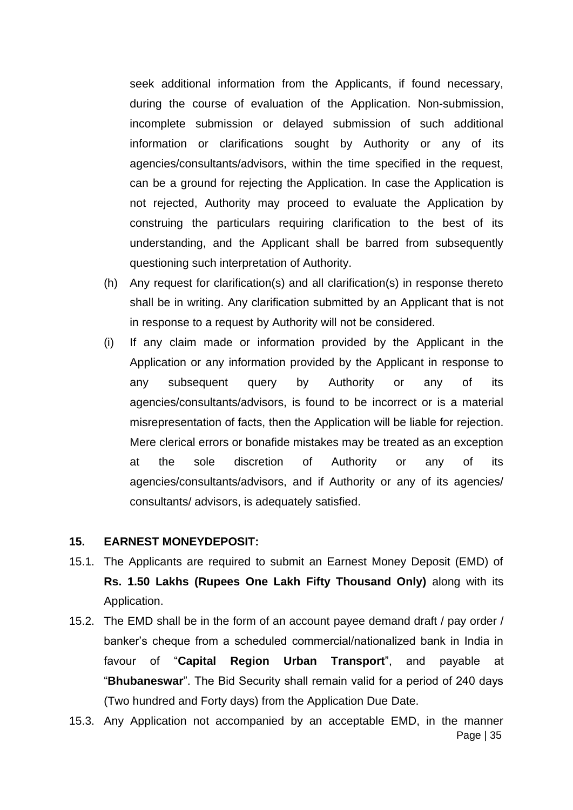seek additional information from the Applicants, if found necessary, during the course of evaluation of the Application. Non-submission, incomplete submission or delayed submission of such additional information or clarifications sought by Authority or any of its agencies/consultants/advisors, within the time specified in the request, can be a ground for rejecting the Application. In case the Application is not rejected, Authority may proceed to evaluate the Application by construing the particulars requiring clarification to the best of its understanding, and the Applicant shall be barred from subsequently questioning such interpretation of Authority.

- (h) Any request for clarification(s) and all clarification(s) in response thereto shall be in writing. Any clarification submitted by an Applicant that is not in response to a request by Authority will not be considered.
- (i) If any claim made or information provided by the Applicant in the Application or any information provided by the Applicant in response to any subsequent query by Authority or any of its agencies/consultants/advisors, is found to be incorrect or is a material misrepresentation of facts, then the Application will be liable for rejection. Mere clerical errors or bonafide mistakes may be treated as an exception at the sole discretion of Authority or any of its agencies/consultants/advisors, and if Authority or any of its agencies/ consultants/ advisors, is adequately satisfied.

#### **15. EARNEST MONEYDEPOSIT:**

- 15.1. The Applicants are required to submit an Earnest Money Deposit (EMD) of **Rs. 1.50 Lakhs (Rupees One Lakh Fifty Thousand Only)** along with its Application.
- 15.2. The EMD shall be in the form of an account payee demand draft / pay order / banker's cheque from a scheduled commercial/nationalized bank in India in favour of "**Capital Region Urban Transport**", and payable at "**Bhubaneswar**". The Bid Security shall remain valid for a period of 240 days (Two hundred and Forty days) from the Application Due Date.
- Page | 35 15.3. Any Application not accompanied by an acceptable EMD, in the manner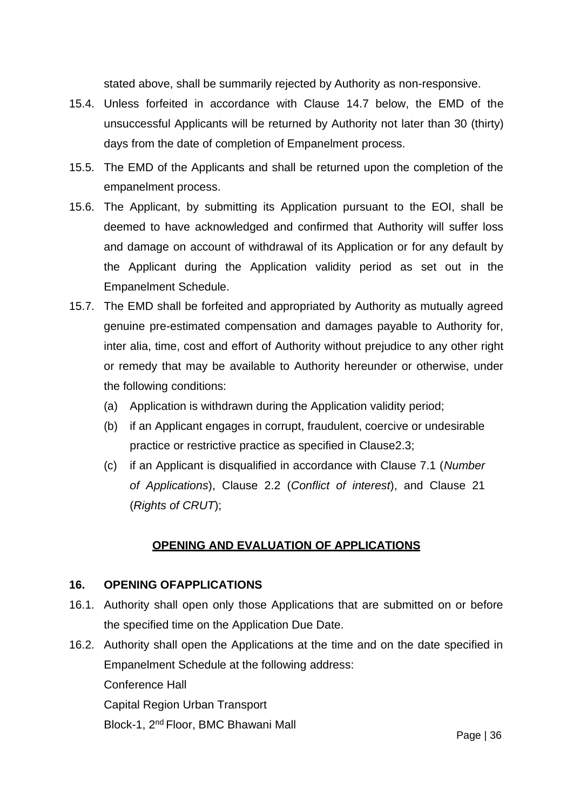stated above, shall be summarily rejected by Authority as non-responsive.

- 15.4. Unless forfeited in accordance with Clause 14.7 below, the EMD of the unsuccessful Applicants will be returned by Authority not later than 30 (thirty) days from the date of completion of Empanelment process.
- 15.5. The EMD of the Applicants and shall be returned upon the completion of the empanelment process.
- 15.6. The Applicant, by submitting its Application pursuant to the EOI, shall be deemed to have acknowledged and confirmed that Authority will suffer loss and damage on account of withdrawal of its Application or for any default by the Applicant during the Application validity period as set out in the Empanelment Schedule.
- 15.7. The EMD shall be forfeited and appropriated by Authority as mutually agreed genuine pre-estimated compensation and damages payable to Authority for, inter alia, time, cost and effort of Authority without prejudice to any other right or remedy that may be available to Authority hereunder or otherwise, under the following conditions:
	- (a) Application is withdrawn during the Application validity period;
	- (b) if an Applicant engages in corrupt, fraudulent, coercive or undesirable practice or restrictive practice as specified in Clause2.3;
	- (c) if an Applicant is disqualified in accordance with Clause 7.1 (*Number of Applications*), Clause 2.2 (*Conflict of interest*), and Clause 21 (*Rights of CRUT*);

# **OPENING AND EVALUATION OF APPLICATIONS**

# **16. OPENING OFAPPLICATIONS**

- 16.1. Authority shall open only those Applications that are submitted on or before the specified time on the Application Due Date.
- 16.2. Authority shall open the Applications at the time and on the date specified in Empanelment Schedule at the following address: Conference Hall Capital Region Urban Transport Block-1, 2nd Floor, BMC Bhawani Mall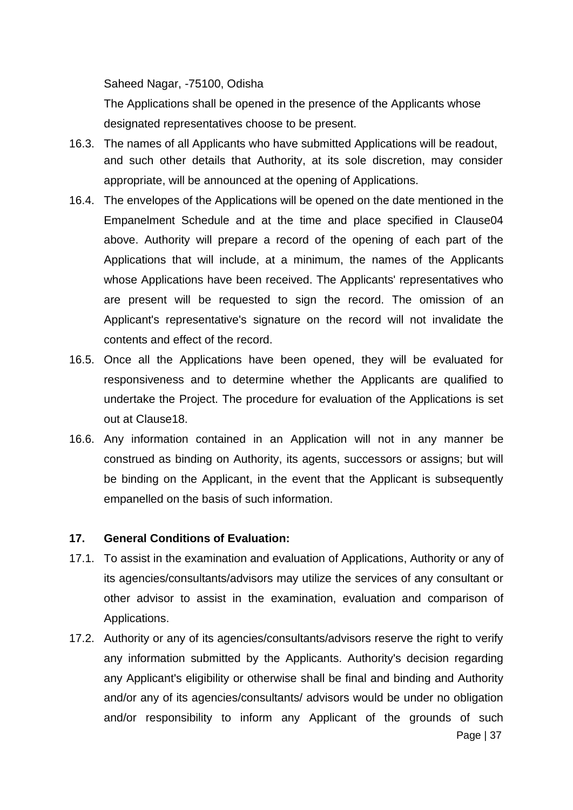Saheed Nagar, -75100, Odisha

The Applications shall be opened in the presence of the Applicants whose designated representatives choose to be present.

- 16.3. The names of all Applicants who have submitted Applications will be readout, and such other details that Authority, at its sole discretion, may consider appropriate, will be announced at the opening of Applications.
- 16.4. The envelopes of the Applications will be opened on the date mentioned in the Empanelment Schedule and at the time and place specified in Clause04 above. Authority will prepare a record of the opening of each part of the Applications that will include, at a minimum, the names of the Applicants whose Applications have been received. The Applicants' representatives who are present will be requested to sign the record. The omission of an Applicant's representative's signature on the record will not invalidate the contents and effect of the record.
- 16.5. Once all the Applications have been opened, they will be evaluated for responsiveness and to determine whether the Applicants are qualified to undertake the Project. The procedure for evaluation of the Applications is set out at Clause18.
- 16.6. Any information contained in an Application will not in any manner be construed as binding on Authority, its agents, successors or assigns; but will be binding on the Applicant, in the event that the Applicant is subsequently empanelled on the basis of such information.

#### **17. General Conditions of Evaluation:**

- 17.1. To assist in the examination and evaluation of Applications, Authority or any of its agencies/consultants/advisors may utilize the services of any consultant or other advisor to assist in the examination, evaluation and comparison of Applications.
- Page | 37 17.2. Authority or any of its agencies/consultants/advisors reserve the right to verify any information submitted by the Applicants. Authority's decision regarding any Applicant's eligibility or otherwise shall be final and binding and Authority and/or any of its agencies/consultants/ advisors would be under no obligation and/or responsibility to inform any Applicant of the grounds of such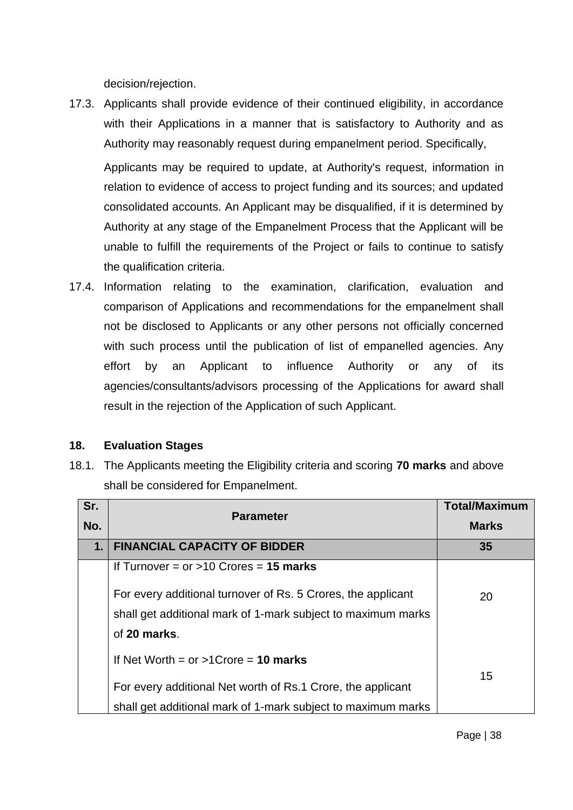decision/rejection.

17.3. Applicants shall provide evidence of their continued eligibility, in accordance with their Applications in a manner that is satisfactory to Authority and as Authority may reasonably request during empanelment period. Specifically,

Applicants may be required to update, at Authority's request, information in relation to evidence of access to project funding and its sources; and updated consolidated accounts. An Applicant may be disqualified, if it is determined by Authority at any stage of the Empanelment Process that the Applicant will be unable to fulfill the requirements of the Project or fails to continue to satisfy the qualification criteria.

17.4. Information relating to the examination, clarification, evaluation and comparison of Applications and recommendations for the empanelment shall not be disclosed to Applicants or any other persons not officially concerned with such process until the publication of list of empanelled agencies. Any effort by an Applicant to influence Authority or any of its agencies/consultants/advisors processing of the Applications for award shall result in the rejection of the Application of such Applicant.

# **18. Evaluation Stages**

18.1. The Applicants meeting the Eligibility criteria and scoring **70 marks** and above shall be considered for Empanelment.

| Sr.<br>No. | <b>Parameter</b>                                             | <b>Total/Maximum</b><br><b>Marks</b> |
|------------|--------------------------------------------------------------|--------------------------------------|
| 1.         | <b>FINANCIAL CAPACITY OF BIDDER</b>                          | 35                                   |
|            | If Turnover = $or > 10$ Crores = 15 marks                    |                                      |
|            | For every additional turnover of Rs. 5 Crores, the applicant | 20                                   |
|            | shall get additional mark of 1-mark subject to maximum marks |                                      |
|            | of 20 marks.                                                 |                                      |
|            | If Net Worth = $or$ >1Crore = 10 marks                       |                                      |
|            | For every additional Net worth of Rs.1 Crore, the applicant  | 15                                   |
|            | shall get additional mark of 1-mark subject to maximum marks |                                      |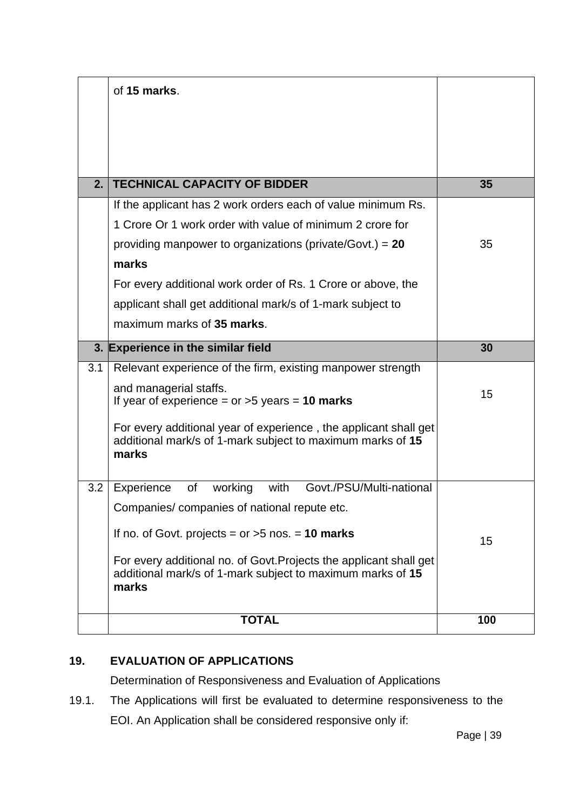| of 15 marks.                                                                                                                              |     |
|-------------------------------------------------------------------------------------------------------------------------------------------|-----|
|                                                                                                                                           |     |
|                                                                                                                                           |     |
|                                                                                                                                           |     |
| <b>TECHNICAL CAPACITY OF BIDDER</b><br>2.                                                                                                 | 35  |
| If the applicant has 2 work orders each of value minimum Rs.                                                                              |     |
| 1 Crore Or 1 work order with value of minimum 2 crore for                                                                                 |     |
| providing manpower to organizations (private/Govt.) = $20$                                                                                | 35  |
| marks                                                                                                                                     |     |
| For every additional work order of Rs. 1 Crore or above, the                                                                              |     |
| applicant shall get additional mark/s of 1-mark subject to                                                                                |     |
| maximum marks of 35 marks.                                                                                                                |     |
| 3. Experience in the similar field                                                                                                        | 30  |
| Relevant experience of the firm, existing manpower strength<br>3.1                                                                        |     |
| and managerial staffs.<br>If year of experience = $or >5$ years = 10 marks                                                                | 15  |
| For every additional year of experience, the applicant shall get<br>additional mark/s of 1-mark subject to maximum marks of 15<br>marks   |     |
| working<br>with<br>Govt./PSU/Multi-national<br>3.2<br>Experience<br>of                                                                    |     |
| Companies/ companies of national repute etc.                                                                                              |     |
| If no. of Govt. projects = $or$ >5 nos. = 10 marks                                                                                        | 15  |
| For every additional no. of Govt. Projects the applicant shall get<br>additional mark/s of 1-mark subject to maximum marks of 15<br>marks |     |
| <b>TOTAL</b>                                                                                                                              | 100 |

# **19. EVALUATION OF APPLICATIONS**

Determination of Responsiveness and Evaluation of Applications

19.1. The Applications will first be evaluated to determine responsiveness to the EOI. An Application shall be considered responsive only if: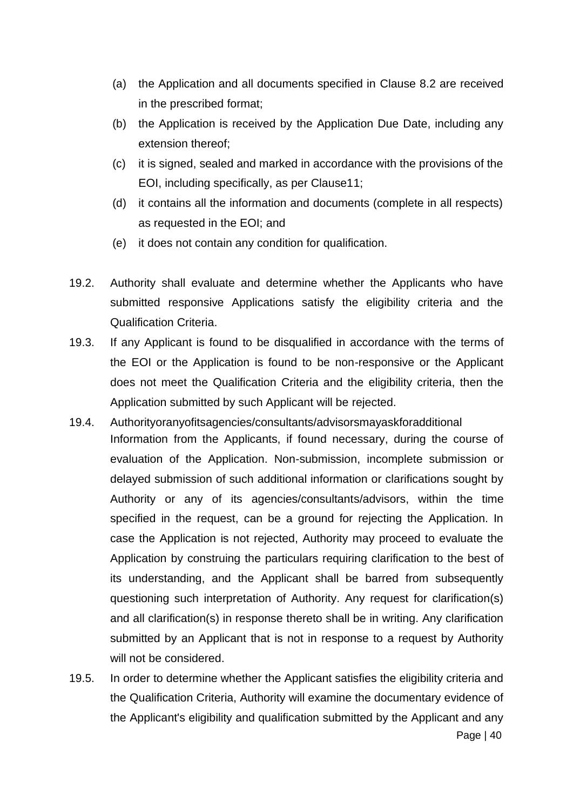- (a) the Application and all documents specified in Clause 8.2 are received in the prescribed format;
- (b) the Application is received by the Application Due Date, including any extension thereof;
- (c) it is signed, sealed and marked in accordance with the provisions of the EOI, including specifically, as per Clause11;
- (d) it contains all the information and documents (complete in all respects) as requested in the EOI; and
- (e) it does not contain any condition for qualification.
- 19.2. Authority shall evaluate and determine whether the Applicants who have submitted responsive Applications satisfy the eligibility criteria and the Qualification Criteria.
- 19.3. If any Applicant is found to be disqualified in accordance with the terms of the EOI or the Application is found to be non-responsive or the Applicant does not meet the Qualification Criteria and the eligibility criteria, then the Application submitted by such Applicant will be rejected.
- 19.4. Authorityoranyofitsagencies/consultants/advisorsmayaskforadditional Information from the Applicants, if found necessary, during the course of evaluation of the Application. Non-submission, incomplete submission or delayed submission of such additional information or clarifications sought by Authority or any of its agencies/consultants/advisors, within the time specified in the request, can be a ground for rejecting the Application. In case the Application is not rejected, Authority may proceed to evaluate the Application by construing the particulars requiring clarification to the best of its understanding, and the Applicant shall be barred from subsequently questioning such interpretation of Authority. Any request for clarification(s) and all clarification(s) in response thereto shall be in writing. Any clarification submitted by an Applicant that is not in response to a request by Authority will not be considered.
- 19.5. In order to determine whether the Applicant satisfies the eligibility criteria and the Qualification Criteria, Authority will examine the documentary evidence of the Applicant's eligibility and qualification submitted by the Applicant and any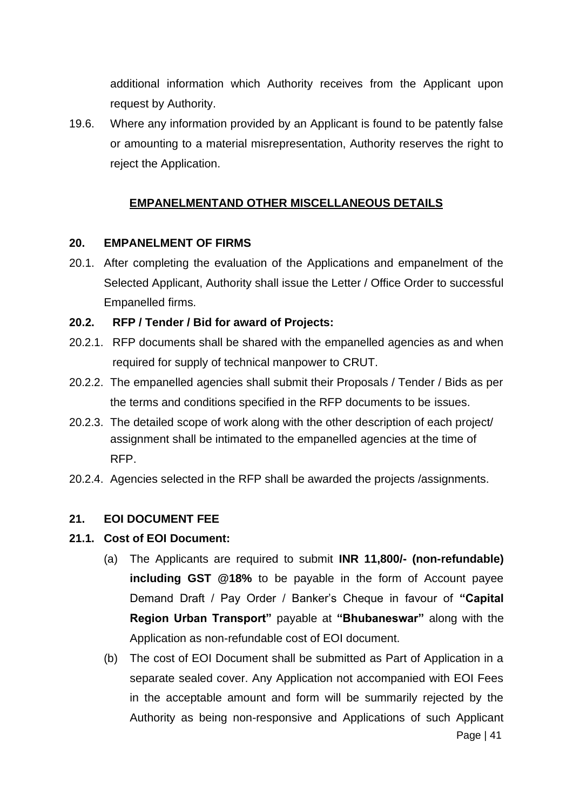additional information which Authority receives from the Applicant upon request by Authority.

19.6. Where any information provided by an Applicant is found to be patently false or amounting to a material misrepresentation, Authority reserves the right to reject the Application.

# **EMPANELMENTAND OTHER MISCELLANEOUS DETAILS**

#### **20. EMPANELMENT OF FIRMS**

20.1. After completing the evaluation of the Applications and empanelment of the Selected Applicant, Authority shall issue the Letter / Office Order to successful Empanelled firms.

#### **20.2. RFP / Tender / Bid for award of Projects:**

- 20.2.1. RFP documents shall be shared with the empanelled agencies as and when required for supply of technical manpower to CRUT.
- 20.2.2. The empanelled agencies shall submit their Proposals / Tender / Bids as per the terms and conditions specified in the RFP documents to be issues.
- 20.2.3. The detailed scope of work along with the other description of each project/ assignment shall be intimated to the empanelled agencies at the time of RFP.
- 20.2.4. Agencies selected in the RFP shall be awarded the projects /assignments.

#### **21. EOI DOCUMENT FEE**

#### **21.1. Cost of EOI Document:**

- (a) The Applicants are required to submit **INR 11,800/- (non-refundable) including GST @18%** to be payable in the form of Account payee Demand Draft / Pay Order / Banker's Cheque in favour of **"Capital Region Urban Transport"** payable at **"Bhubaneswar"** along with the Application as non-refundable cost of EOI document.
- Page | 41 (b) The cost of EOI Document shall be submitted as Part of Application in a separate sealed cover. Any Application not accompanied with EOI Fees in the acceptable amount and form will be summarily rejected by the Authority as being non-responsive and Applications of such Applicant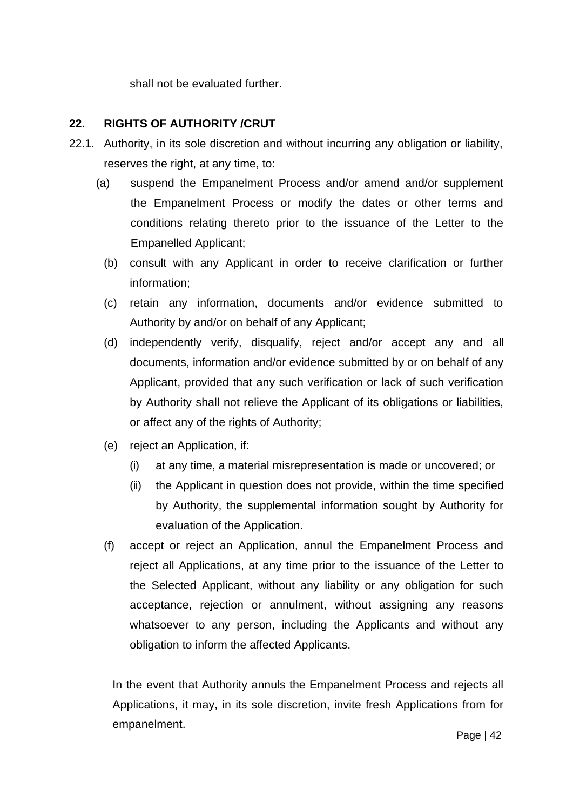shall not be evaluated further.

# **22. RIGHTS OF AUTHORITY /CRUT**

- 22.1. Authority, in its sole discretion and without incurring any obligation or liability, reserves the right, at any time, to:
	- (a) suspend the Empanelment Process and/or amend and/or supplement the Empanelment Process or modify the dates or other terms and conditions relating thereto prior to the issuance of the Letter to the Empanelled Applicant;
		- (b) consult with any Applicant in order to receive clarification or further information;
		- (c) retain any information, documents and/or evidence submitted to Authority by and/or on behalf of any Applicant;
		- (d) independently verify, disqualify, reject and/or accept any and all documents, information and/or evidence submitted by or on behalf of any Applicant, provided that any such verification or lack of such verification by Authority shall not relieve the Applicant of its obligations or liabilities, or affect any of the rights of Authority;
		- (e) reject an Application, if:
			- (i) at any time, a material misrepresentation is made or uncovered; or
			- (ii) the Applicant in question does not provide, within the time specified by Authority, the supplemental information sought by Authority for evaluation of the Application.
		- (f) accept or reject an Application, annul the Empanelment Process and reject all Applications, at any time prior to the issuance of the Letter to the Selected Applicant, without any liability or any obligation for such acceptance, rejection or annulment, without assigning any reasons whatsoever to any person, including the Applicants and without any obligation to inform the affected Applicants.

In the event that Authority annuls the Empanelment Process and rejects all Applications, it may, in its sole discretion, invite fresh Applications from for empanelment.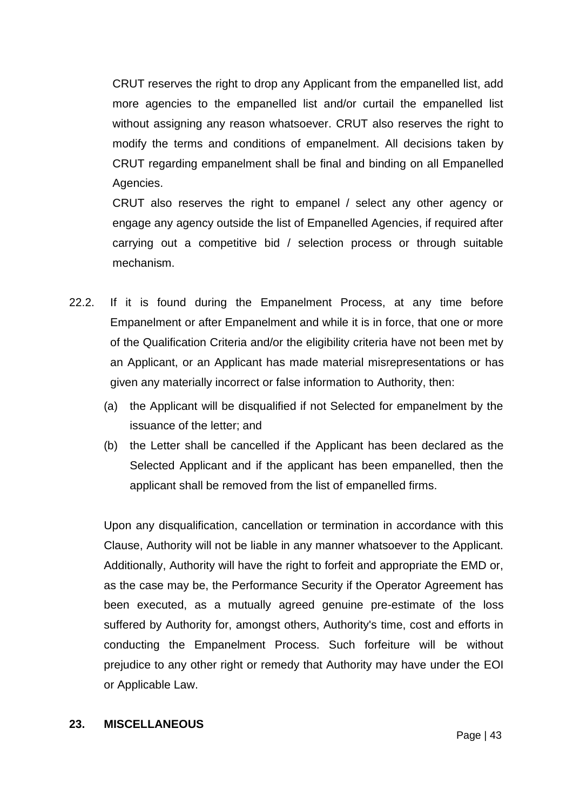CRUT reserves the right to drop any Applicant from the empanelled list, add more agencies to the empanelled list and/or curtail the empanelled list without assigning any reason whatsoever. CRUT also reserves the right to modify the terms and conditions of empanelment. All decisions taken by CRUT regarding empanelment shall be final and binding on all Empanelled Agencies.

CRUT also reserves the right to empanel / select any other agency or engage any agency outside the list of Empanelled Agencies, if required after carrying out a competitive bid / selection process or through suitable mechanism.

- 22.2. If it is found during the Empanelment Process, at any time before Empanelment or after Empanelment and while it is in force, that one or more of the Qualification Criteria and/or the eligibility criteria have not been met by an Applicant, or an Applicant has made material misrepresentations or has given any materially incorrect or false information to Authority, then:
	- (a) the Applicant will be disqualified if not Selected for empanelment by the issuance of the letter; and
	- (b) the Letter shall be cancelled if the Applicant has been declared as the Selected Applicant and if the applicant has been empanelled, then the applicant shall be removed from the list of empanelled firms.

Upon any disqualification, cancellation or termination in accordance with this Clause, Authority will not be liable in any manner whatsoever to the Applicant. Additionally, Authority will have the right to forfeit and appropriate the EMD or, as the case may be, the Performance Security if the Operator Agreement has been executed, as a mutually agreed genuine pre-estimate of the loss suffered by Authority for, amongst others, Authority's time, cost and efforts in conducting the Empanelment Process. Such forfeiture will be without prejudice to any other right or remedy that Authority may have under the EOI or Applicable Law.

#### **23. MISCELLANEOUS**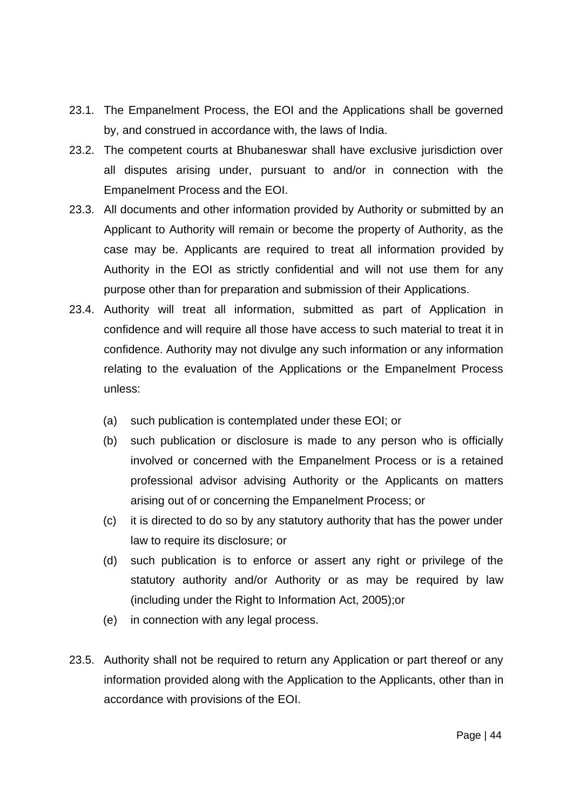- 23.1. The Empanelment Process, the EOI and the Applications shall be governed by, and construed in accordance with, the laws of India.
- 23.2. The competent courts at Bhubaneswar shall have exclusive jurisdiction over all disputes arising under, pursuant to and/or in connection with the Empanelment Process and the EOI.
- 23.3. All documents and other information provided by Authority or submitted by an Applicant to Authority will remain or become the property of Authority, as the case may be. Applicants are required to treat all information provided by Authority in the EOI as strictly confidential and will not use them for any purpose other than for preparation and submission of their Applications.
- 23.4. Authority will treat all information, submitted as part of Application in confidence and will require all those have access to such material to treat it in confidence. Authority may not divulge any such information or any information relating to the evaluation of the Applications or the Empanelment Process unless:
	- (a) such publication is contemplated under these EOI; or
	- (b) such publication or disclosure is made to any person who is officially involved or concerned with the Empanelment Process or is a retained professional advisor advising Authority or the Applicants on matters arising out of or concerning the Empanelment Process; or
	- (c) it is directed to do so by any statutory authority that has the power under law to require its disclosure; or
	- (d) such publication is to enforce or assert any right or privilege of the statutory authority and/or Authority or as may be required by law (including under the Right to Information Act, 2005);or
	- (e) in connection with any legal process.
- 23.5. Authority shall not be required to return any Application or part thereof or any information provided along with the Application to the Applicants, other than in accordance with provisions of the EOI.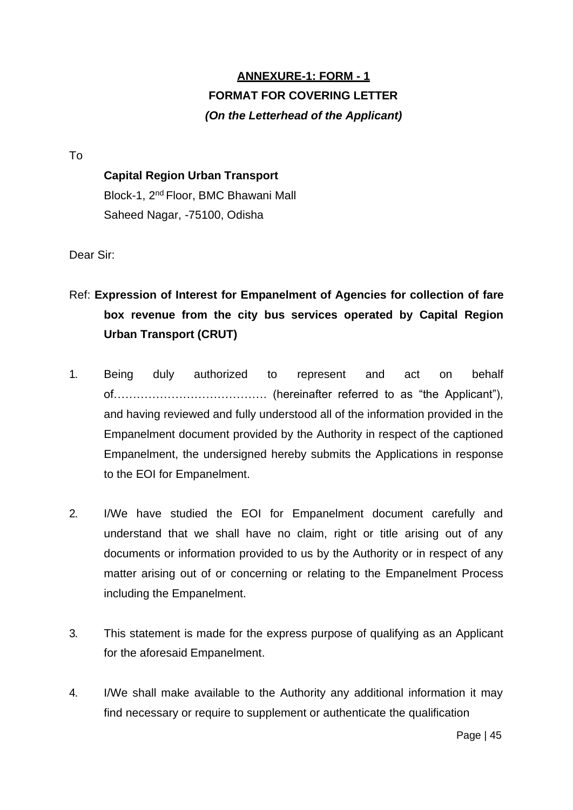# **ANNEXURE-1: FORM - 1 FORMAT FOR COVERING LETTER** *(On the Letterhead of the Applicant)*

To

### **Capital Region Urban Transport**

Block-1, 2nd Floor, BMC Bhawani Mall Saheed Nagar, -75100, Odisha

Dear Sir:

- Ref: **Expression of Interest for Empanelment of Agencies for collection of fare box revenue from the city bus services operated by Capital Region Urban Transport (CRUT)**
- 1. Being duly authorized to represent and act on behalf of…………………………………. (hereinafter referred to as "the Applicant"), and having reviewed and fully understood all of the information provided in the Empanelment document provided by the Authority in respect of the captioned Empanelment, the undersigned hereby submits the Applications in response to the EOI for Empanelment.
- 2. I/We have studied the EOI for Empanelment document carefully and understand that we shall have no claim, right or title arising out of any documents or information provided to us by the Authority or in respect of any matter arising out of or concerning or relating to the Empanelment Process including the Empanelment.
- 3. This statement is made for the express purpose of qualifying as an Applicant for the aforesaid Empanelment.
- 4. I/We shall make available to the Authority any additional information it may find necessary or require to supplement or authenticate the qualification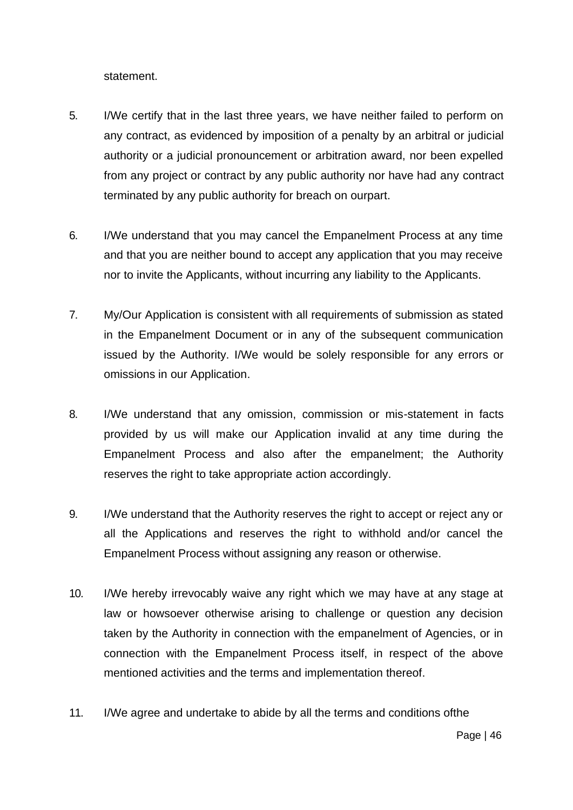statement.

- 5. I/We certify that in the last three years, we have neither failed to perform on any contract, as evidenced by imposition of a penalty by an arbitral or judicial authority or a judicial pronouncement or arbitration award, nor been expelled from any project or contract by any public authority nor have had any contract terminated by any public authority for breach on ourpart.
- 6. I/We understand that you may cancel the Empanelment Process at any time and that you are neither bound to accept any application that you may receive nor to invite the Applicants, without incurring any liability to the Applicants.
- 7. My/Our Application is consistent with all requirements of submission as stated in the Empanelment Document or in any of the subsequent communication issued by the Authority. I/We would be solely responsible for any errors or omissions in our Application.
- 8. I/We understand that any omission, commission or mis-statement in facts provided by us will make our Application invalid at any time during the Empanelment Process and also after the empanelment; the Authority reserves the right to take appropriate action accordingly.
- 9. I/We understand that the Authority reserves the right to accept or reject any or all the Applications and reserves the right to withhold and/or cancel the Empanelment Process without assigning any reason or otherwise.
- 10. I/We hereby irrevocably waive any right which we may have at any stage at law or howsoever otherwise arising to challenge or question any decision taken by the Authority in connection with the empanelment of Agencies, or in connection with the Empanelment Process itself, in respect of the above mentioned activities and the terms and implementation thereof.
- 11. I/We agree and undertake to abide by all the terms and conditions ofthe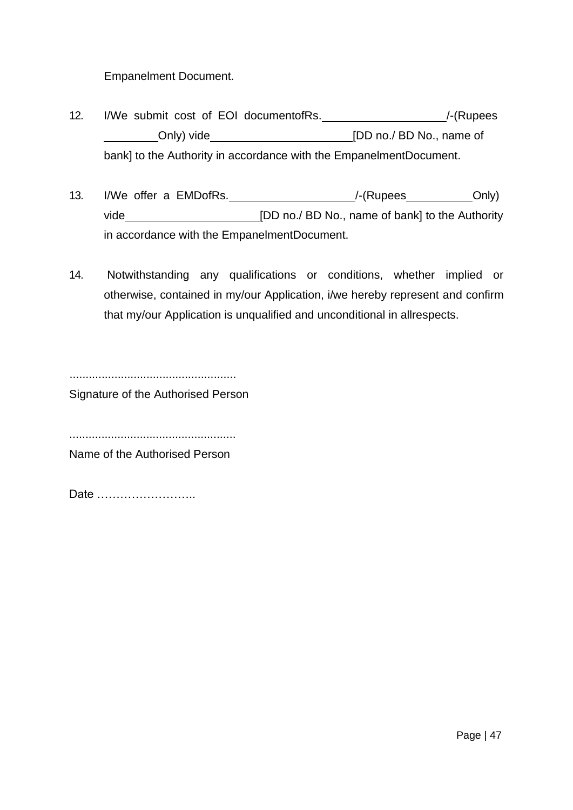Empanelment Document.

- 12. I/We submit cost of EOI documentofRs. \_\_\_\_\_\_\_\_\_\_\_\_\_\_\_\_\_\_\_\_\_\_\_\_\_\_/-(Rupees Only) vide **[DD no./ BD No., name of** bank] to the Authority in accordance with the EmpanelmentDocument.
- 13. I/We offer a EMDofRs. \_\_\_\_\_\_\_\_\_\_\_\_\_\_\_\_\_\_\_\_\_\_\_/-(Rupees \_\_\_\_\_\_\_\_\_\_\_Only) vide **[DD no./ BD No., name of bank] to the Authority** in accordance with the EmpanelmentDocument.
- 14. Notwithstanding any qualifications or conditions, whether implied or otherwise, contained in my/our Application, i/we hereby represent and confirm that my/our Application is unqualified and unconditional in allrespects.

.................................................... Signature of the Authorised Person

....................................................

Name of the Authorised Person

Date ……………………..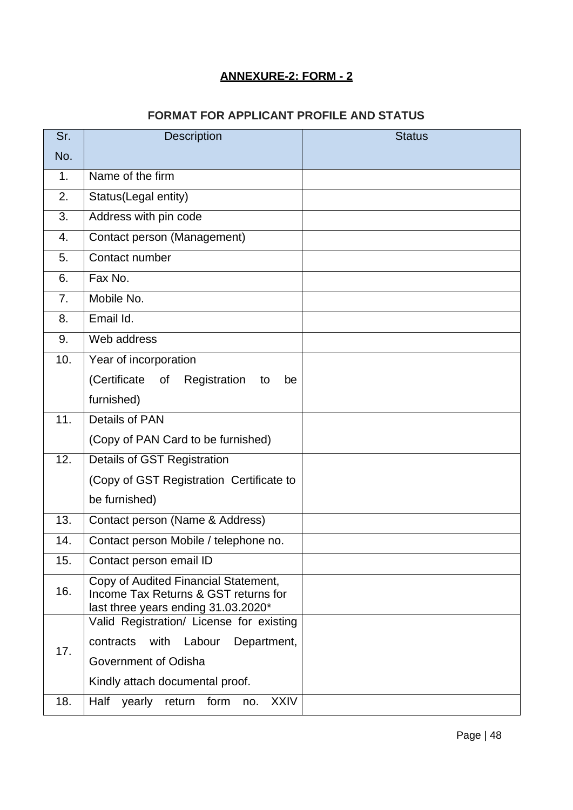# **ANNEXURE-2: FORM - 2**

# **FORMAT FOR APPLICANT PROFILE AND STATUS**

| Sr.            | <b>Description</b>                                                                                                  | <b>Status</b> |  |  |
|----------------|---------------------------------------------------------------------------------------------------------------------|---------------|--|--|
| No.            |                                                                                                                     |               |  |  |
| 1.             | Name of the firm                                                                                                    |               |  |  |
| 2.             | Status(Legal entity)                                                                                                |               |  |  |
| 3.             | Address with pin code                                                                                               |               |  |  |
| 4.             | Contact person (Management)                                                                                         |               |  |  |
| 5.             | Contact number                                                                                                      |               |  |  |
| 6.             | Fax No.                                                                                                             |               |  |  |
| 7 <sub>1</sub> | Mobile No.                                                                                                          |               |  |  |
| 8.             | Email Id.                                                                                                           |               |  |  |
| 9.             | Web address                                                                                                         |               |  |  |
| 10.            | Year of incorporation                                                                                               |               |  |  |
|                | (Certificate of<br>Registration<br>to<br>be                                                                         |               |  |  |
|                | furnished)                                                                                                          |               |  |  |
| 11.            | <b>Details of PAN</b>                                                                                               |               |  |  |
|                | (Copy of PAN Card to be furnished)                                                                                  |               |  |  |
| 12.            | <b>Details of GST Registration</b>                                                                                  |               |  |  |
|                | (Copy of GST Registration Certificate to                                                                            |               |  |  |
|                | be furnished)                                                                                                       |               |  |  |
| 13.            | Contact person (Name & Address)                                                                                     |               |  |  |
| 14.            | Contact person Mobile / telephone no.                                                                               |               |  |  |
| 15.            | Contact person email ID                                                                                             |               |  |  |
| 16.            | Copy of Audited Financial Statement,<br>Income Tax Returns & GST returns for<br>last three years ending 31.03.2020* |               |  |  |
|                | Valid Registration/ License for existing                                                                            |               |  |  |
| 17.            | contracts<br>with<br>Labour<br>Department,                                                                          |               |  |  |
|                | Government of Odisha                                                                                                |               |  |  |
|                | Kindly attach documental proof.                                                                                     |               |  |  |
| 18.            | <b>XXIV</b><br>Half<br>form<br>yearly<br>return<br>no.                                                              |               |  |  |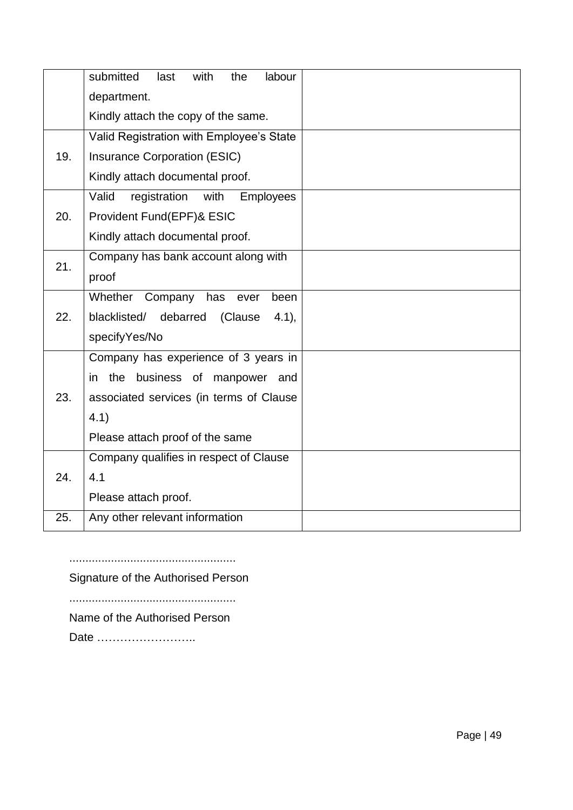|     | submitted<br>with<br>the<br>labour<br>last        |  |
|-----|---------------------------------------------------|--|
|     | department.                                       |  |
|     | Kindly attach the copy of the same.               |  |
|     | Valid Registration with Employee's State          |  |
| 19. | <b>Insurance Corporation (ESIC)</b>               |  |
|     | Kindly attach documental proof.                   |  |
|     | Valid<br><b>Employees</b><br>registration<br>with |  |
| 20. | Provident Fund(EPF)& ESIC                         |  |
|     | Kindly attach documental proof.                   |  |
| 21. | Company has bank account along with               |  |
|     | proof                                             |  |
|     | Whether Company<br>has<br>been<br>ever            |  |
| 22. | blacklisted/<br>debarred<br>(Clause<br>$4.1$ ),   |  |
|     | specifyYes/No                                     |  |
|     | Company has experience of 3 years in              |  |
|     | business of<br>the<br>manpower<br>in<br>and       |  |
| 23. | associated services (in terms of Clause           |  |
|     | 4.1)                                              |  |
|     | Please attach proof of the same                   |  |
|     | Company qualifies in respect of Clause            |  |
| 24. | 4.1                                               |  |
|     | Please attach proof.                              |  |
| 25. | Any other relevant information                    |  |

....................................................

Signature of the Authorised Person

....................................................

Name of the Authorised Person

Date ……………………..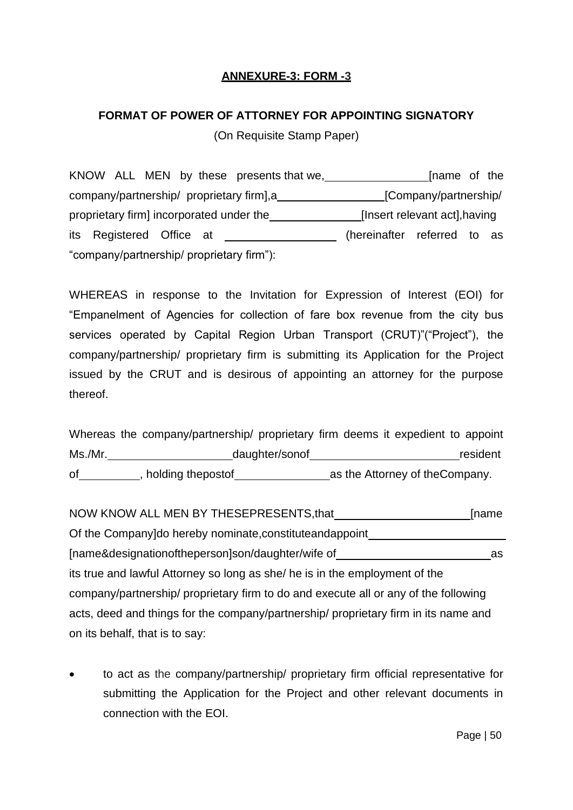# **ANNEXURE-3: FORM -3**

# **FORMAT OF POWER OF ATTORNEY FOR APPOINTING SIGNATORY**

(On Requisite Stamp Paper)

KNOW ALL MEN by these presents that we, **Example 20** [name of the company/partnership/ proprietary firm], a\_\_\_\_\_\_\_\_\_\_\_\_\_\_\_\_\_\_\_\_\_\_[Company/partnership/ proprietary firm] incorporated under the **[Insert relevant act]**,having its Registered Office at (hereinafter referred to as "company/partnership/ proprietary firm"):

WHEREAS in response to the Invitation for Expression of Interest (EOI) for "Empanelment of Agencies for collection of fare box revenue from the city bus services operated by Capital Region Urban Transport (CRUT)"("Project"), the company/partnership/ proprietary firm is submitting its Application for the Project issued by the CRUT and is desirous of appointing an attorney for the purpose thereof.

Whereas the company/partnership/ proprietary firm deems it expedient to appoint Ms./Mr. example and daughter/sonof and the contract of the resident of , holding thepostof as the Attorney of theCompany.

NOW KNOW ALL MEN BY THESEPRESENTS, that **Example 2018** [name Of the Company]do hereby nominate,constituteandappoint [name&designationoftheperson]son/daughter/wife of \_\_\_\_\_\_\_\_\_\_\_\_\_\_\_\_\_\_\_\_\_\_\_\_\_\_\_\_\_\_ its true and lawful Attorney so long as she/ he is in the employment of the company/partnership/ proprietary firm to do and execute all or any of the following acts, deed and things for the company/partnership/ proprietary firm in its name and on its behalf, that is to say:

• to act as the company/partnership/ proprietary firm official representative for submitting the Application for the Project and other relevant documents in connection with the EOI.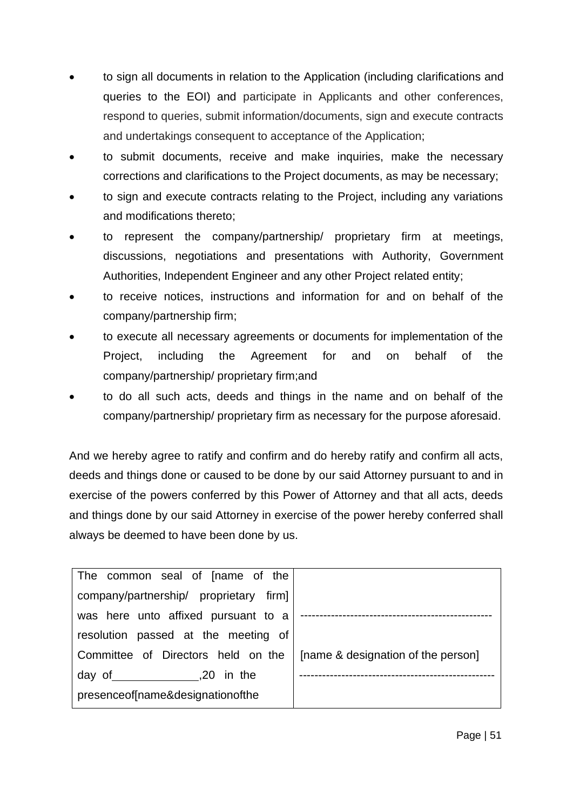- to sign all documents in relation to the Application (including clarifications and queries to the EOI) and participate in Applicants and other conferences, respond to queries, submit information/documents, sign and execute contracts and undertakings consequent to acceptance of the Application;
- to submit documents, receive and make inquiries, make the necessary corrections and clarifications to the Project documents, as may be necessary;
- to sign and execute contracts relating to the Project, including any variations and modifications thereto;
- to represent the company/partnership/ proprietary firm at meetings, discussions, negotiations and presentations with Authority, Government Authorities, Independent Engineer and any other Project related entity;
- to receive notices, instructions and information for and on behalf of the company/partnership firm;
- to execute all necessary agreements or documents for implementation of the Project, including the Agreement for and on behalf of the company/partnership/ proprietary firm;and
- to do all such acts, deeds and things in the name and on behalf of the company/partnership/ proprietary firm as necessary for the purpose aforesaid.

And we hereby agree to ratify and confirm and do hereby ratify and confirm all acts, deeds and things done or caused to be done by our said Attorney pursuant to and in exercise of the powers conferred by this Power of Attorney and that all acts, deeds and things done by our said Attorney in exercise of the power hereby conferred shall always be deemed to have been done by us.

| The common seal of [name of the        |                                    |
|----------------------------------------|------------------------------------|
| company/partnership/ proprietary firm] |                                    |
| was here unto affixed pursuant to a    |                                    |
| resolution passed at the meeting of    |                                    |
| Committee of Directors held on the     | [name & designation of the person] |
| day of 5.1 and 1.20 in the             |                                    |
| presence of [name&designation of the   |                                    |
|                                        |                                    |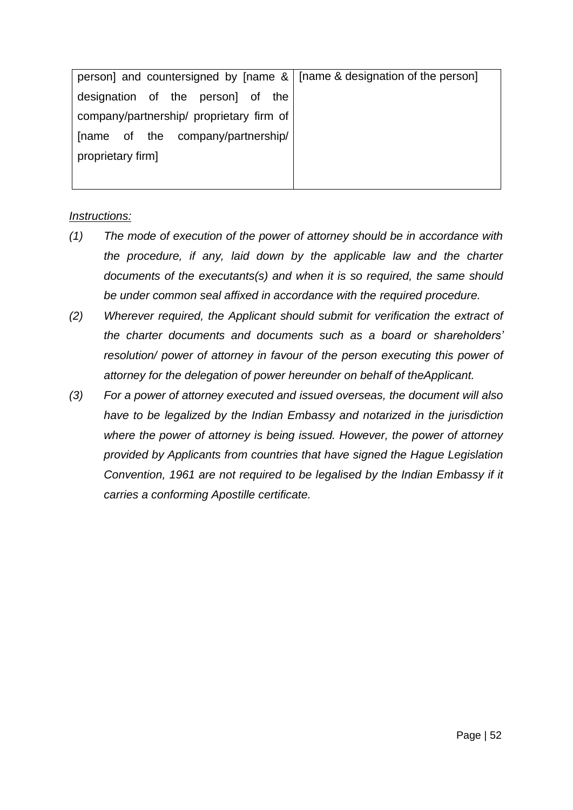| person] and countersigned by [name &   [name & designation of the person] |  |
|---------------------------------------------------------------------------|--|
| designation of the person] of the                                         |  |
| company/partnership/ proprietary firm of                                  |  |
| [name of the company/partnership/                                         |  |
| proprietary firm]                                                         |  |
|                                                                           |  |

#### *Instructions:*

- *(1) The mode of execution of the power of attorney should be in accordance with the procedure, if any, laid down by the applicable law and the charter documents of the executants(s) and when it is so required, the same should be under common seal affixed in accordance with the required procedure.*
- *(2) Wherever required, the Applicant should submit for verification the extract of the charter documents and documents such as a board or shareholders' resolution/ power of attorney in favour of the person executing this power of attorney for the delegation of power hereunder on behalf of theApplicant.*
- *(3) For a power of attorney executed and issued overseas, the document will also have to be legalized by the Indian Embassy and notarized in the jurisdiction where the power of attorney is being issued. However, the power of attorney provided by Applicants from countries that have signed the Hague Legislation Convention, 1961 are not required to be legalised by the Indian Embassy if it carries a conforming Apostille certificate.*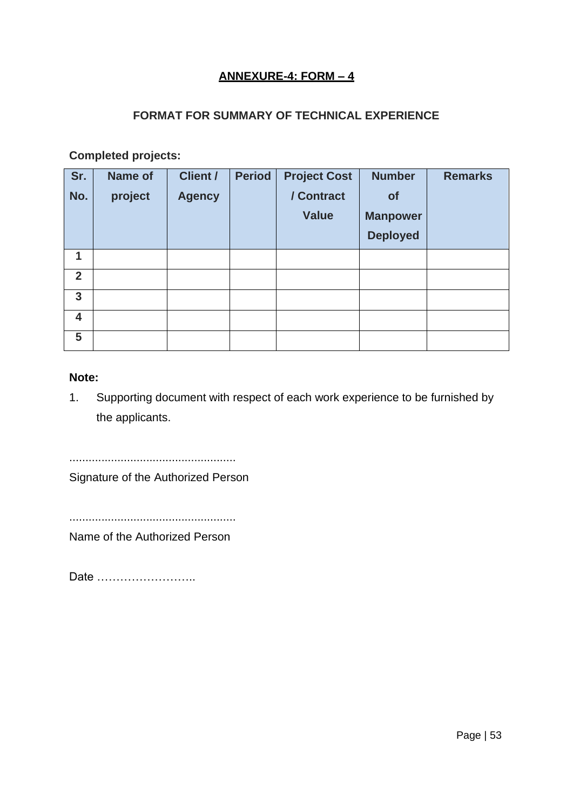# **ANNEXURE-4: FORM – 4**

# **FORMAT FOR SUMMARY OF TECHNICAL EXPERIENCE**

**Completed projects:**

| Sr.            | <b>Name of</b> | <b>Client /</b> | <b>Period</b> | <b>Project Cost</b> | <b>Number</b>   | <b>Remarks</b> |
|----------------|----------------|-----------------|---------------|---------------------|-----------------|----------------|
| No.            | project        | <b>Agency</b>   |               | / Contract          | of              |                |
|                |                |                 |               | <b>Value</b>        | <b>Manpower</b> |                |
|                |                |                 |               |                     | <b>Deployed</b> |                |
| 1              |                |                 |               |                     |                 |                |
| $\overline{2}$ |                |                 |               |                     |                 |                |
| 3              |                |                 |               |                     |                 |                |
| 4              |                |                 |               |                     |                 |                |
| 5              |                |                 |               |                     |                 |                |

#### **Note:**

1. Supporting document with respect of each work experience to be furnished by the applicants.

....................................................

Signature of the Authorized Person

....................................................

Name of the Authorized Person

Date ……………………..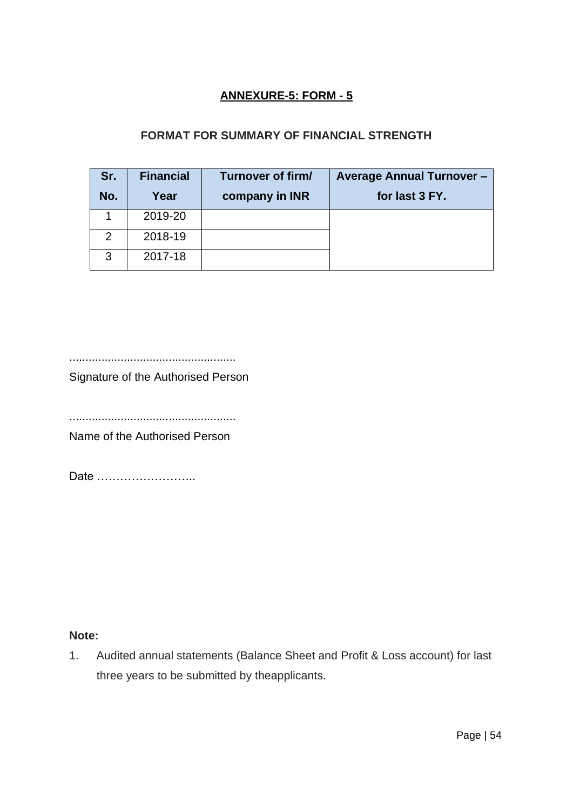# **ANNEXURE-5: FORM - 5**

# **FORMAT FOR SUMMARY OF FINANCIAL STRENGTH**

| Sr. | <b>Financial</b> | Turnover of firm/ | <b>Average Annual Turnover -</b> |
|-----|------------------|-------------------|----------------------------------|
| No. | Year             | company in INR    | for last 3 FY.                   |
|     | 2019-20          |                   |                                  |
| 2   | 2018-19          |                   |                                  |
| 3   | 2017-18          |                   |                                  |

....................................................

Signature of the Authorised Person

....................................................

Name of the Authorised Person

Date ……………………..

# **Note:**

1. Audited annual statements (Balance Sheet and Profit & Loss account) for last three years to be submitted by theapplicants.